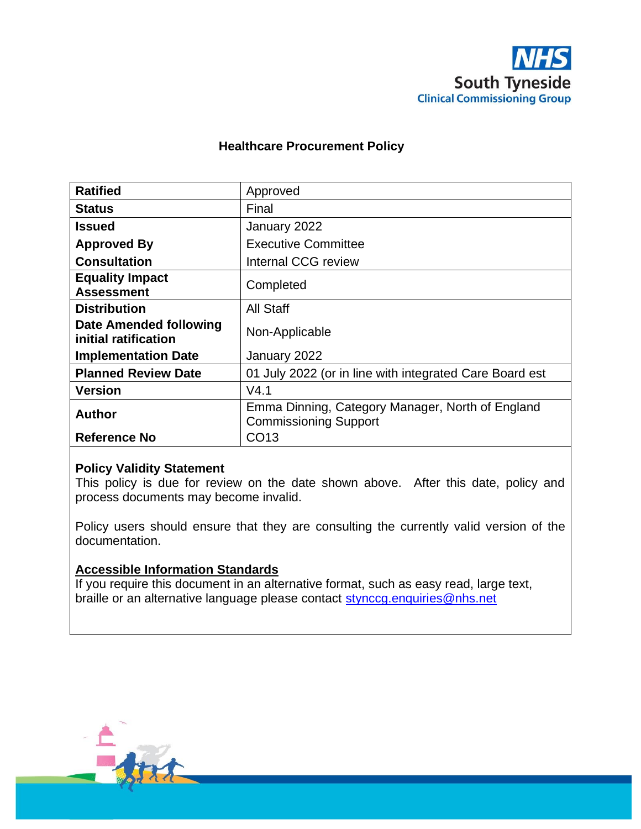

### **Healthcare Procurement Policy**

| <b>Ratified</b>                                | Approved                                                                         |
|------------------------------------------------|----------------------------------------------------------------------------------|
| <b>Status</b>                                  | Final                                                                            |
| <b>Issued</b>                                  | January 2022                                                                     |
| <b>Approved By</b>                             | <b>Executive Committee</b>                                                       |
| <b>Consultation</b>                            | Internal CCG review                                                              |
| <b>Equality Impact</b><br><b>Assessment</b>    | Completed                                                                        |
| <b>Distribution</b>                            | <b>All Staff</b>                                                                 |
| Date Amended following<br>initial ratification | Non-Applicable                                                                   |
| <b>Implementation Date</b>                     | January 2022                                                                     |
| <b>Planned Review Date</b>                     | 01 July 2022 (or in line with integrated Care Board est                          |
| <b>Version</b>                                 | V4.1                                                                             |
| <b>Author</b>                                  | Emma Dinning, Category Manager, North of England<br><b>Commissioning Support</b> |
| <b>Reference No</b>                            | CO <sub>13</sub>                                                                 |

### **Policy Validity Statement**

This policy is due for review on the date shown above. After this date, policy and process documents may become invalid.

Policy users should ensure that they are consulting the currently valid version of the documentation.

### **Accessible Information Standards**

If you require this document in an alternative format, such as easy read, large text, braille or an alternative language please contact [stynccg.enquiries@nhs.net](mailto:stynccg.enquiries@nhs.net)

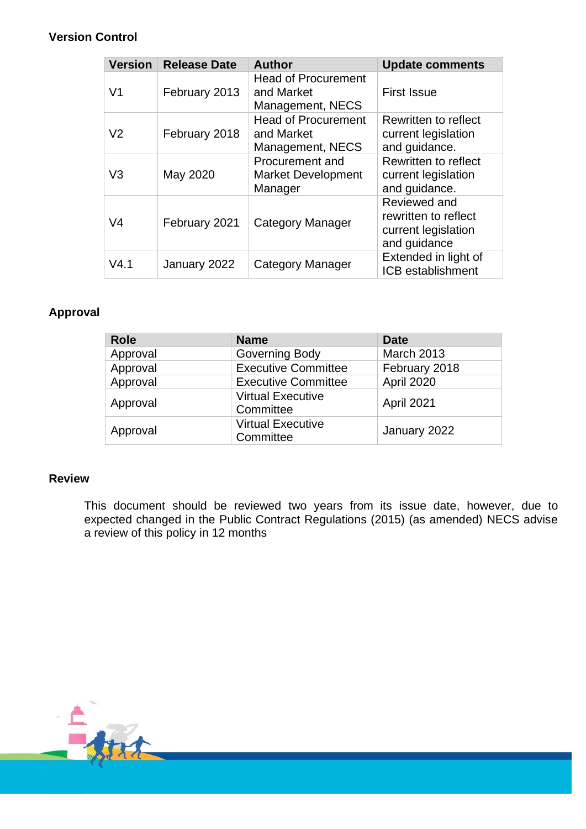## **Version Control**

| <b>Version</b> | <b>Release Date</b> | <b>Author</b>                                                | <b>Update comments</b>                                                      |
|----------------|---------------------|--------------------------------------------------------------|-----------------------------------------------------------------------------|
| V <sub>1</sub> | February 2013       | <b>Head of Procurement</b><br>and Market<br>Management, NECS | <b>First Issue</b>                                                          |
| V <sub>2</sub> | February 2018       | <b>Head of Procurement</b><br>and Market<br>Management, NECS | Rewritten to reflect<br>current legislation<br>and guidance.                |
| V <sub>3</sub> | May 2020            | Procurement and<br><b>Market Development</b><br>Manager      | Rewritten to reflect<br>current legislation<br>and guidance.                |
| V <sub>4</sub> | February 2021       | Category Manager                                             | Reviewed and<br>rewritten to reflect<br>current legislation<br>and guidance |
| V4.1           | January 2022        | <b>Category Manager</b>                                      | Extended in light of<br>ICB establishment                                   |

## **Approval**

| <b>Role</b> | <b>Name</b>                           | Date              |
|-------------|---------------------------------------|-------------------|
| Approval    | Governing Body                        | <b>March 2013</b> |
| Approval    | <b>Executive Committee</b>            | February 2018     |
| Approval    | <b>Executive Committee</b>            | April 2020        |
| Approval    | <b>Virtual Executive</b><br>Committee | April 2021        |
| Approval    | <b>Virtual Executive</b><br>Committee | January 2022      |

### **Review**

This document should be reviewed two years from its issue date, however, due to expected changed in the Public Contract Regulations (2015) (as amended) NECS advise a review of this policy in 12 months

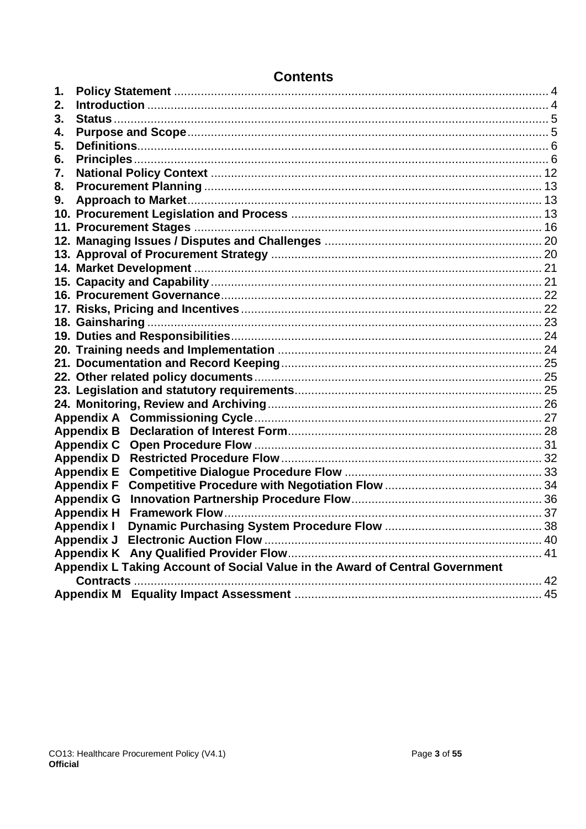| 1. |                                                                              |    |
|----|------------------------------------------------------------------------------|----|
| 2. |                                                                              |    |
| 3. |                                                                              |    |
| 4. |                                                                              |    |
| 5. |                                                                              |    |
| 6. |                                                                              |    |
| 7. |                                                                              |    |
| 8. |                                                                              |    |
| 9. |                                                                              |    |
|    |                                                                              |    |
|    |                                                                              |    |
|    |                                                                              |    |
|    |                                                                              |    |
|    |                                                                              |    |
|    |                                                                              |    |
|    |                                                                              |    |
|    |                                                                              |    |
|    |                                                                              |    |
|    |                                                                              |    |
|    |                                                                              |    |
|    |                                                                              |    |
|    |                                                                              |    |
|    |                                                                              |    |
|    |                                                                              |    |
|    |                                                                              |    |
|    | <b>Appendix B</b>                                                            |    |
|    | <b>Appendix C</b>                                                            |    |
|    | <b>Appendix D</b>                                                            |    |
|    | <b>Appendix E</b>                                                            |    |
|    | <b>Appendix F</b>                                                            |    |
|    |                                                                              |    |
|    | <b>Appendix H</b>                                                            |    |
|    | <b>Dynamic Purchasing System Procedure Flow</b><br><b>Appendix I</b>         | 38 |
|    |                                                                              |    |
|    |                                                                              |    |
|    | Appendix L Taking Account of Social Value in the Award of Central Government |    |
|    |                                                                              |    |
|    |                                                                              |    |
|    |                                                                              |    |

# **Contents**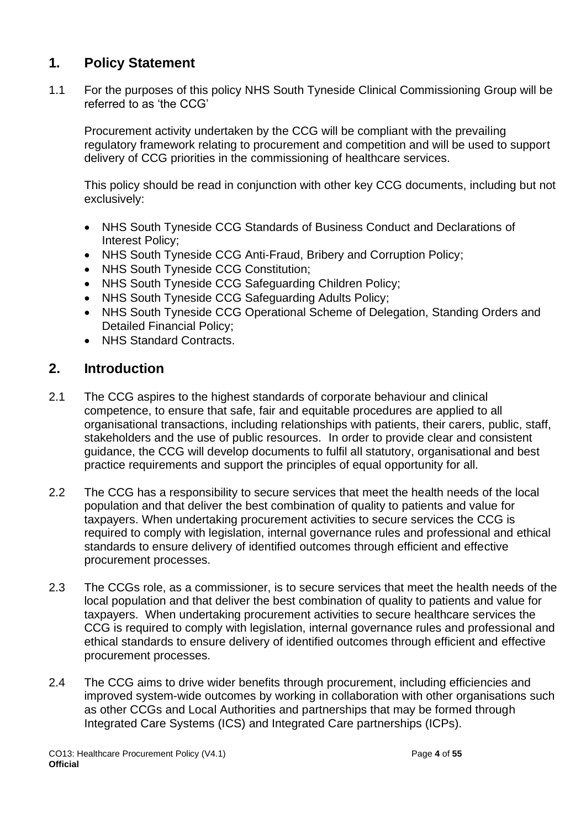# <span id="page-3-0"></span>**1. Policy Statement**

1.1 For the purposes of this policy NHS South Tyneside Clinical Commissioning Group will be referred to as 'the CCG'

Procurement activity undertaken by the CCG will be compliant with the prevailing regulatory framework relating to procurement and competition and will be used to support delivery of CCG priorities in the commissioning of healthcare services.

This policy should be read in conjunction with other key CCG documents, including but not exclusively:

- NHS South Tyneside CCG Standards of Business Conduct and Declarations of Interest Policy;
- NHS South Tyneside CCG Anti-Fraud, Bribery and Corruption Policy;
- NHS South Tyneside CCG Constitution;
- NHS South Tyneside CCG Safeguarding Children Policy;
- NHS South Tyneside CCG Safeguarding Adults Policy;
- NHS South Tyneside CCG Operational Scheme of Delegation, Standing Orders and Detailed Financial Policy;
- NHS Standard Contracts.

# <span id="page-3-1"></span>**2. Introduction**

- 2.1 The CCG aspires to the highest standards of corporate behaviour and clinical competence, to ensure that safe, fair and equitable procedures are applied to all organisational transactions, including relationships with patients, their carers, public, staff, stakeholders and the use of public resources. In order to provide clear and consistent guidance, the CCG will develop documents to fulfil all statutory, organisational and best practice requirements and support the principles of equal opportunity for all.
- 2.2 The CCG has a responsibility to secure services that meet the health needs of the local population and that deliver the best combination of quality to patients and value for taxpayers. When undertaking procurement activities to secure services the CCG is required to comply with legislation, internal governance rules and professional and ethical standards to ensure delivery of identified outcomes through efficient and effective procurement processes.
- 2.3 The CCGs role, as a commissioner, is to secure services that meet the health needs of the local population and that deliver the best combination of quality to patients and value for taxpayers. When undertaking procurement activities to secure healthcare services the CCG is required to comply with legislation, internal governance rules and professional and ethical standards to ensure delivery of identified outcomes through efficient and effective procurement processes.
- 2.4 The CCG aims to drive wider benefits through procurement, including efficiencies and improved system-wide outcomes by working in collaboration with other organisations such as other CCGs and Local Authorities and partnerships that may be formed through Integrated Care Systems (ICS) and Integrated Care partnerships (ICPs).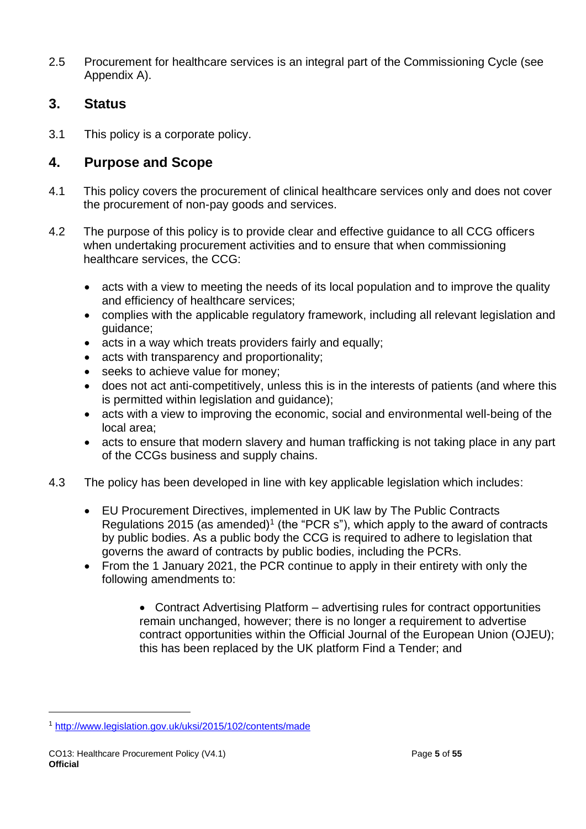2.5 Procurement for healthcare services is an integral part of the Commissioning Cycle (see Appendix A).

# <span id="page-4-0"></span>**3. Status**

3.1 This policy is a corporate policy.

# <span id="page-4-1"></span>**4. Purpose and Scope**

- 4.1 This policy covers the procurement of clinical healthcare services only and does not cover the procurement of non-pay goods and services.
- 4.2 The purpose of this policy is to provide clear and effective guidance to all CCG officers when undertaking procurement activities and to ensure that when commissioning healthcare services, the CCG:
	- acts with a view to meeting the needs of its local population and to improve the quality and efficiency of healthcare services;
	- complies with the applicable regulatory framework, including all relevant legislation and guidance;
	- acts in a way which treats providers fairly and equally;
	- acts with transparency and proportionality;
	- seeks to achieve value for money;
	- does not act anti-competitively, unless this is in the interests of patients (and where this is permitted within legislation and guidance);
	- acts with a view to improving the economic, social and environmental well-being of the local area;
	- acts to ensure that modern slavery and human trafficking is not taking place in any part of the CCGs business and supply chains.
- 4.3 The policy has been developed in line with key applicable legislation which includes:
	- EU Procurement Directives, implemented in UK law by The Public Contracts Regulations 2015 (as amended)<sup>1</sup> (the "PCR s"), which apply to the award of contracts by public bodies. As a public body the CCG is required to adhere to legislation that governs the award of contracts by public bodies, including the PCRs.
	- From the 1 January 2021, the PCR continue to apply in their entirety with only the following amendments to:

• Contract Advertising Platform – advertising rules for contract opportunities remain unchanged, however; there is no longer a requirement to advertise contract opportunities within the Official Journal of the European Union (OJEU); this has been replaced by the UK platform Find a Tender; and

<sup>1</sup> <http://www.legislation.gov.uk/uksi/2015/102/contents/made>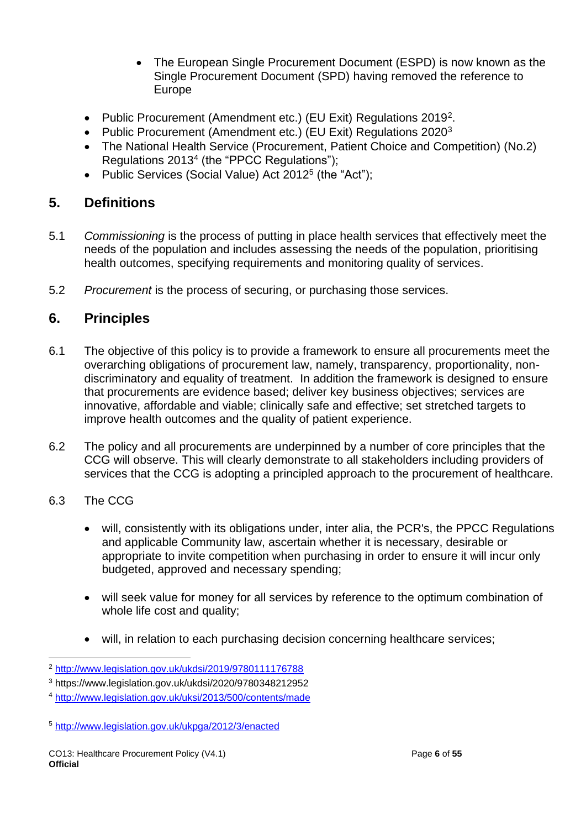- The European Single Procurement Document (ESPD) is now known as the Single Procurement Document (SPD) having removed the reference to Europe
- Public Procurement (Amendment etc.) (EU Exit) Regulations 2019<sup>2</sup>.
- Public Procurement (Amendment etc.) (EU Exit) Regulations 2020<sup>3</sup>
- The National Health Service (Procurement, Patient Choice and Competition) (No.2) Regulations 2013<sup>4</sup> (the "PPCC Regulations");
- Public Services (Social Value) Act 2012<sup>5</sup> (the "Act");

# <span id="page-5-0"></span>**5. Definitions**

- 5.1 *Commissioning* is the process of putting in place health services that effectively meet the needs of the population and includes assessing the needs of the population, prioritising health outcomes, specifying requirements and monitoring quality of services.
- 5.2 *Procurement* is the process of securing, or purchasing those services.

# <span id="page-5-1"></span>**6. Principles**

- 6.1 The objective of this policy is to provide a framework to ensure all procurements meet the overarching obligations of procurement law, namely, transparency, proportionality, nondiscriminatory and equality of treatment. In addition the framework is designed to ensure that procurements are evidence based; deliver key business objectives; services are innovative, affordable and viable; clinically safe and effective; set stretched targets to improve health outcomes and the quality of patient experience.
- 6.2 The policy and all procurements are underpinned by a number of core principles that the CCG will observe. This will clearly demonstrate to all stakeholders including providers of services that the CCG is adopting a principled approach to the procurement of healthcare.

## 6.3 The CCG

- will, consistently with its obligations under, inter alia, the PCR's, the PPCC Regulations and applicable Community law, ascertain whether it is necessary, desirable or appropriate to invite competition when purchasing in order to ensure it will incur only budgeted, approved and necessary spending;
- will seek value for money for all services by reference to the optimum combination of whole life cost and quality;
- will, in relation to each purchasing decision concerning healthcare services;

<sup>5</sup> <http://www.legislation.gov.uk/ukpga/2012/3/enacted>

<sup>2</sup> <http://www.legislation.gov.uk/ukdsi/2019/9780111176788>

<sup>3</sup> https://www.legislation.gov.uk/ukdsi/2020/9780348212952

<sup>4</sup> <http://www.legislation.gov.uk/uksi/2013/500/contents/made>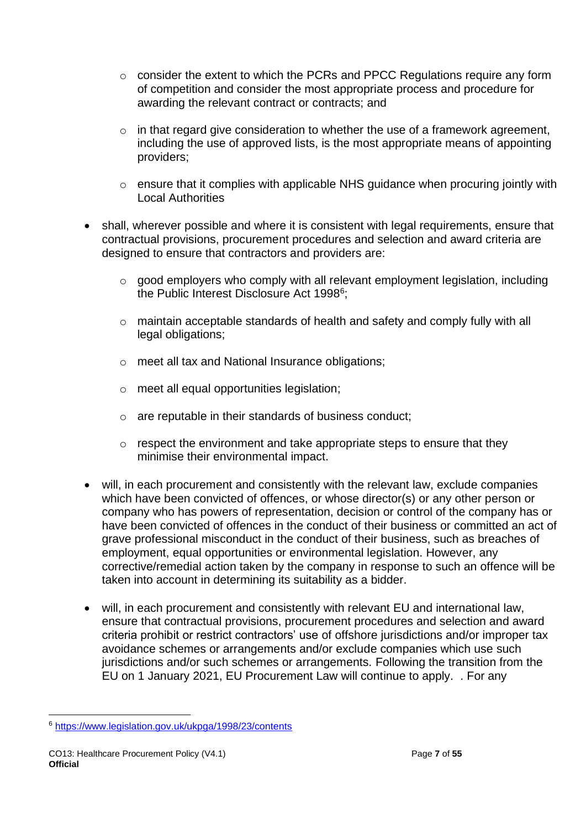- o consider the extent to which the PCRs and PPCC Regulations require any form of competition and consider the most appropriate process and procedure for awarding the relevant contract or contracts; and
- o in that regard give consideration to whether the use of a framework agreement, including the use of approved lists, is the most appropriate means of appointing providers;
- o ensure that it complies with applicable NHS guidance when procuring jointly with Local Authorities
- shall, wherever possible and where it is consistent with legal requirements, ensure that contractual provisions, procurement procedures and selection and award criteria are designed to ensure that contractors and providers are:
	- o good employers who comply with all relevant employment legislation, including the Public Interest Disclosure Act 1998<sup>6</sup>;
	- $\circ$  maintain acceptable standards of health and safety and comply fully with all legal obligations;
	- o meet all tax and National Insurance obligations;
	- o meet all equal opportunities legislation;
	- o are reputable in their standards of business conduct;
	- o respect the environment and take appropriate steps to ensure that they minimise their environmental impact.
- will, in each procurement and consistently with the relevant law, exclude companies which have been convicted of offences, or whose director(s) or any other person or company who has powers of representation, decision or control of the company has or have been convicted of offences in the conduct of their business or committed an act of grave professional misconduct in the conduct of their business, such as breaches of employment, equal opportunities or environmental legislation. However, any corrective/remedial action taken by the company in response to such an offence will be taken into account in determining its suitability as a bidder.
- will, in each procurement and consistently with relevant EU and international law, ensure that contractual provisions, procurement procedures and selection and award criteria prohibit or restrict contractors' use of offshore jurisdictions and/or improper tax avoidance schemes or arrangements and/or exclude companies which use such jurisdictions and/or such schemes or arrangements. Following the transition from the EU on 1 January 2021, EU Procurement Law will continue to apply. . For any

<sup>6</sup> <https://www.legislation.gov.uk/ukpga/1998/23/contents>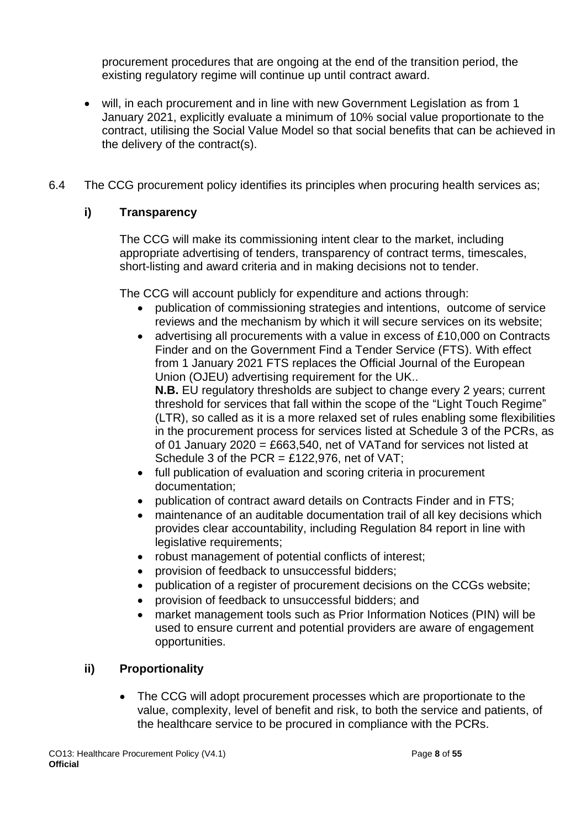procurement procedures that are ongoing at the end of the transition period, the existing regulatory regime will continue up until contract award.

- will, in each procurement and in line with new Government Legislation as from 1 January 2021, explicitly evaluate a minimum of 10% social value proportionate to the contract, utilising the Social Value Model so that social benefits that can be achieved in the delivery of the contract(s).
- 6.4 The CCG procurement policy identifies its principles when procuring health services as;

## **i) Transparency**

The CCG will make its commissioning intent clear to the market, including appropriate advertising of tenders, transparency of contract terms, timescales, short-listing and award criteria and in making decisions not to tender.

The CCG will account publicly for expenditure and actions through:

- publication of commissioning strategies and intentions, outcome of service reviews and the mechanism by which it will secure services on its website;
- advertising all procurements with a value in excess of £10,000 on Contracts Finder and on the Government Find a Tender Service (FTS). With effect from 1 January 2021 FTS replaces the Official Journal of the European Union (OJEU) advertising requirement for the UK.. **N.B.** EU regulatory thresholds are subject to change every 2 years; current threshold for services that fall within the scope of the "Light Touch Regime" (LTR), so called as it is a more relaxed set of rules enabling some flexibilities in the procurement process for services listed at Schedule 3 of the PCRs, as of 01 January 2020 = £663,540, net of VATand for services not listed at Schedule 3 of the  $PCR = £122.976$ , net of VAT:
- full publication of evaluation and scoring criteria in procurement documentation;
- publication of contract award details on Contracts Finder and in FTS;
- maintenance of an auditable documentation trail of all key decisions which provides clear accountability, including Regulation 84 report in line with legislative requirements;
- robust management of potential conflicts of interest;
- provision of feedback to unsuccessful bidders;
- publication of a register of procurement decisions on the CCGs website;
- provision of feedback to unsuccessful bidders; and
- market management tools such as Prior Information Notices (PIN) will be used to ensure current and potential providers are aware of engagement opportunities.

## **ii) Proportionality**

• The CCG will adopt procurement processes which are proportionate to the value, complexity, level of benefit and risk, to both the service and patients, of the healthcare service to be procured in compliance with the PCRs.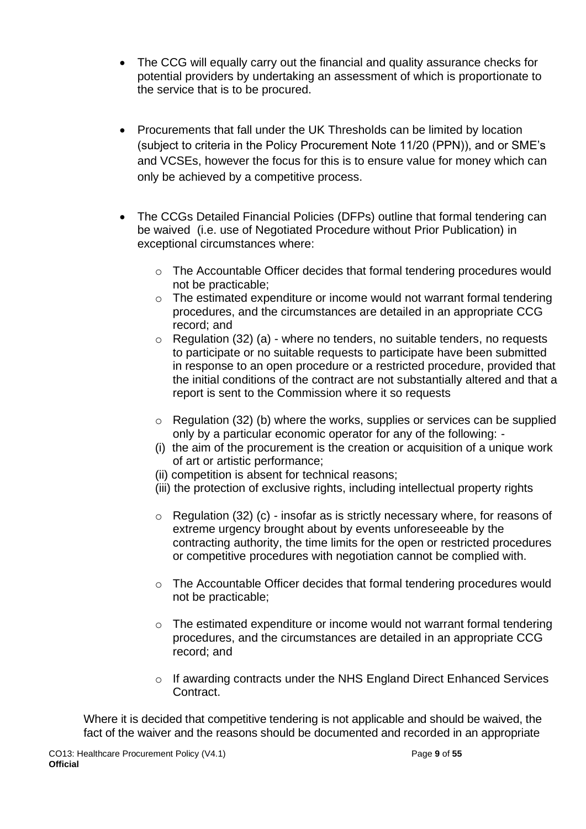- The CCG will equally carry out the financial and quality assurance checks for potential providers by undertaking an assessment of which is proportionate to the service that is to be procured.
- Procurements that fall under the UK Thresholds can be limited by location (subject to criteria in the Policy Procurement Note 11/20 (PPN)), and or SME's and VCSEs, however the focus for this is to ensure value for money which can only be achieved by a competitive process.
- The CCGs Detailed Financial Policies (DFPs) outline that formal tendering can be waived (i.e. use of Negotiated Procedure without Prior Publication) in exceptional circumstances where:
	- $\circ$  The Accountable Officer decides that formal tendering procedures would not be practicable;
	- o The estimated expenditure or income would not warrant formal tendering procedures, and the circumstances are detailed in an appropriate CCG record; and
	- $\circ$  Regulation (32) (a) where no tenders, no suitable tenders, no requests to participate or no suitable requests to participate have been submitted in response to an open procedure or a restricted procedure, provided that the initial conditions of the contract are not substantially altered and that a report is sent to the Commission where it so requests
	- o Regulation (32) (b) where the works, supplies or services can be supplied only by a particular economic operator for any of the following: -
	- (i) the aim of the procurement is the creation or acquisition of a unique work of art or artistic performance;
	- (ii) competition is absent for technical reasons;
	- (iii) the protection of exclusive rights, including intellectual property rights
	- o Regulation (32) (c) insofar as is strictly necessary where, for reasons of extreme urgency brought about by events unforeseeable by the contracting authority, the time limits for the open or restricted procedures or competitive procedures with negotiation cannot be complied with.
	- o The Accountable Officer decides that formal tendering procedures would not be practicable;
	- $\circ$  The estimated expenditure or income would not warrant formal tendering procedures, and the circumstances are detailed in an appropriate CCG record; and
	- o If awarding contracts under the NHS England Direct Enhanced Services Contract.

Where it is decided that competitive tendering is not applicable and should be waived, the fact of the waiver and the reasons should be documented and recorded in an appropriate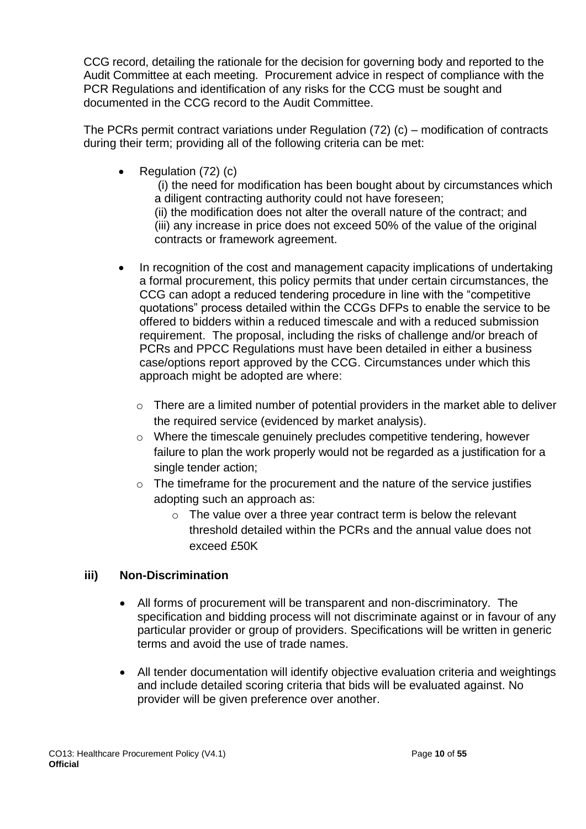CCG record, detailing the rationale for the decision for governing body and reported to the Audit Committee at each meeting. Procurement advice in respect of compliance with the PCR Regulations and identification of any risks for the CCG must be sought and documented in the CCG record to the Audit Committee.

The PCRs permit contract variations under Regulation (72) (c) – modification of contracts during their term; providing all of the following criteria can be met:

• Regulation (72) (c)

(i) the need for modification has been bought about by circumstances which a diligent contracting authority could not have foreseen; (ii) the modification does not alter the overall nature of the contract; and (iii) any increase in price does not exceed 50% of the value of the original

contracts or framework agreement.

- In recognition of the cost and management capacity implications of undertaking a formal procurement, this policy permits that under certain circumstances, the CCG can adopt a reduced tendering procedure in line with the "competitive quotations" process detailed within the CCGs DFPs to enable the service to be offered to bidders within a reduced timescale and with a reduced submission requirement. The proposal, including the risks of challenge and/or breach of PCRs and PPCC Regulations must have been detailed in either a business case/options report approved by the CCG. Circumstances under which this approach might be adopted are where:
	- o There are a limited number of potential providers in the market able to deliver the required service (evidenced by market analysis).
	- o Where the timescale genuinely precludes competitive tendering, however failure to plan the work properly would not be regarded as a justification for a single tender action;
	- $\circ$  The timeframe for the procurement and the nature of the service justifies adopting such an approach as:
		- $\circ$  The value over a three year contract term is below the relevant threshold detailed within the PCRs and the annual value does not exceed £50K

## **iii) Non-Discrimination**

- All forms of procurement will be transparent and non-discriminatory. The specification and bidding process will not discriminate against or in favour of any particular provider or group of providers. Specifications will be written in generic terms and avoid the use of trade names.
- All tender documentation will identify objective evaluation criteria and weightings and include detailed scoring criteria that bids will be evaluated against. No provider will be given preference over another.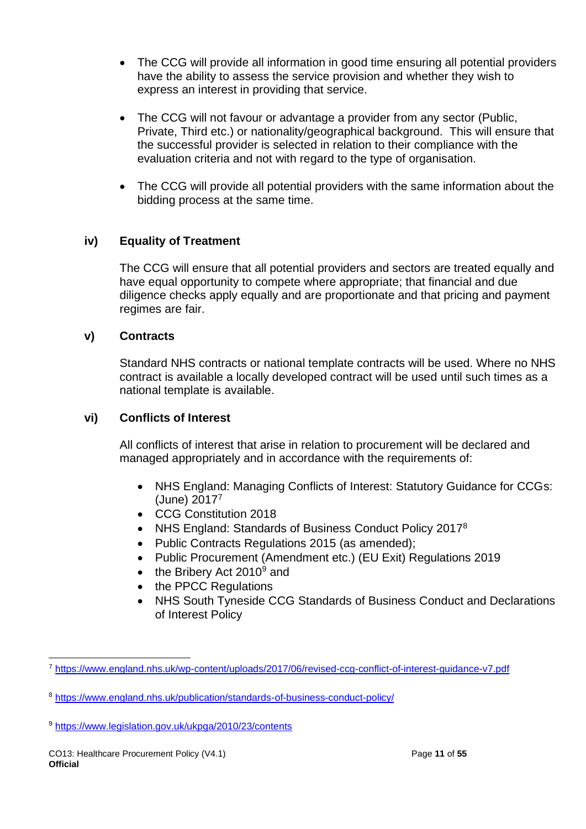- The CCG will provide all information in good time ensuring all potential providers have the ability to assess the service provision and whether they wish to express an interest in providing that service.
- The CCG will not favour or advantage a provider from any sector (Public, Private, Third etc.) or nationality/geographical background. This will ensure that the successful provider is selected in relation to their compliance with the evaluation criteria and not with regard to the type of organisation.
- The CCG will provide all potential providers with the same information about the bidding process at the same time.

## **iv) Equality of Treatment**

The CCG will ensure that all potential providers and sectors are treated equally and have equal opportunity to compete where appropriate; that financial and due diligence checks apply equally and are proportionate and that pricing and payment regimes are fair.

## **v) Contracts**

Standard NHS contracts or national template contracts will be used. Where no NHS contract is available a locally developed contract will be used until such times as a national template is available.

## **vi) Conflicts of Interest**

All conflicts of interest that arise in relation to procurement will be declared and managed appropriately and in accordance with the requirements of:

- NHS England: Managing Conflicts of Interest: Statutory Guidance for CCGs: (June) 2017<sup>7</sup>
- CCG Constitution 2018
- NHS England: Standards of Business Conduct Policy 2017<sup>8</sup>
- Public Contracts Regulations 2015 (as amended);
- Public Procurement (Amendment etc.) (EU Exit) Regulations 2019
- the Bribery Act  $2010^9$  and
- the PPCC Regulations
- NHS South Tyneside CCG Standards of Business Conduct and Declarations of Interest Policy

<sup>7</sup> <https://www.england.nhs.uk/wp-content/uploads/2017/06/revised-ccg-conflict-of-interest-guidance-v7.pdf>

<sup>8</sup> <https://www.england.nhs.uk/publication/standards-of-business-conduct-policy/>

<sup>9</sup> <https://www.legislation.gov.uk/ukpga/2010/23/contents>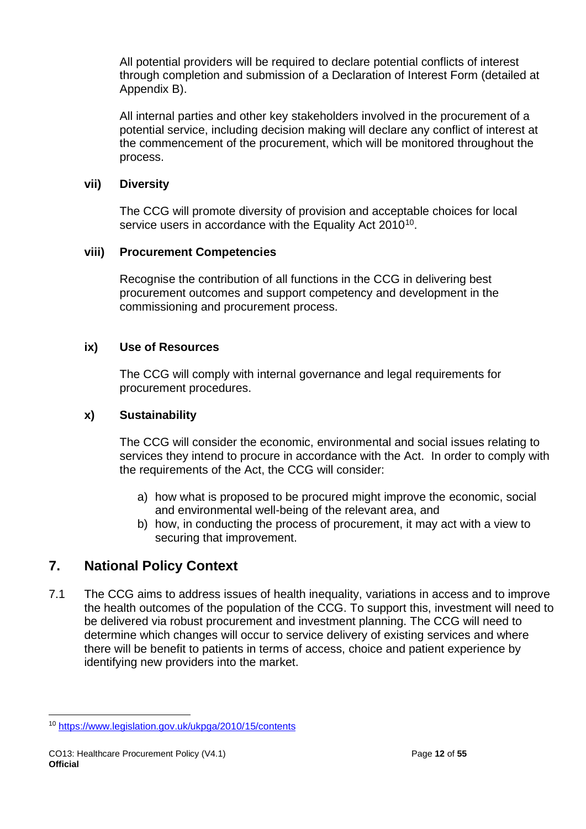All potential providers will be required to declare potential conflicts of interest through completion and submission of a Declaration of Interest Form (detailed at Appendix B).

All internal parties and other key stakeholders involved in the procurement of a potential service, including decision making will declare any conflict of interest at the commencement of the procurement, which will be monitored throughout the process.

## **vii) Diversity**

The CCG will promote diversity of provision and acceptable choices for local service users in accordance with the Equality Act 2010<sup>10</sup>.

## **viii) Procurement Competencies**

Recognise the contribution of all functions in the CCG in delivering best procurement outcomes and support competency and development in the commissioning and procurement process.

## **ix) Use of Resources**

The CCG will comply with internal governance and legal requirements for procurement procedures.

## **x) Sustainability**

The CCG will consider the economic, environmental and social issues relating to services they intend to procure in accordance with the Act. In order to comply with the requirements of the Act, the CCG will consider:

- a) how what is proposed to be procured might improve the economic, social and environmental well-being of the relevant area, and
- b) how, in conducting the process of procurement, it may act with a view to securing that improvement.

# <span id="page-11-0"></span>**7. National Policy Context**

7.1 The CCG aims to address issues of health inequality, variations in access and to improve the health outcomes of the population of the CCG. To support this, investment will need to be delivered via robust procurement and investment planning. The CCG will need to determine which changes will occur to service delivery of existing services and where there will be benefit to patients in terms of access, choice and patient experience by identifying new providers into the market.

<sup>10</sup> <https://www.legislation.gov.uk/ukpga/2010/15/contents>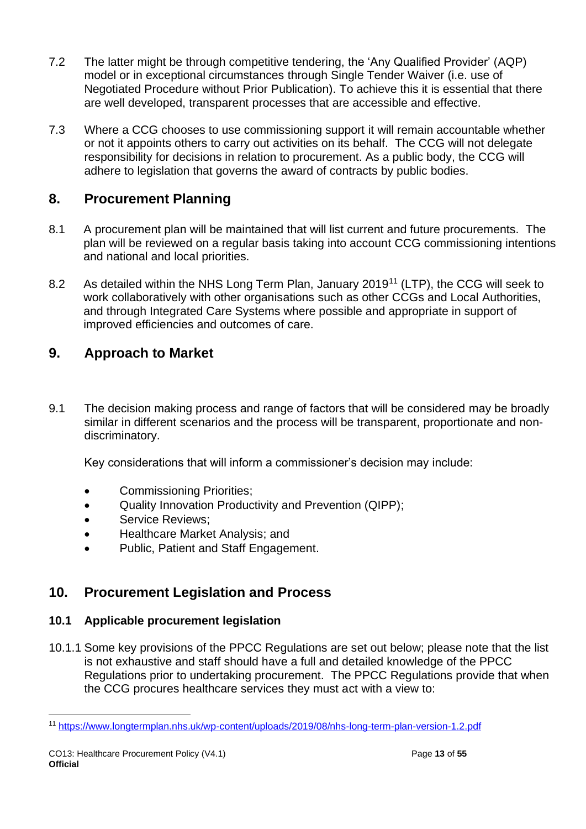- 7.2 The latter might be through competitive tendering, the 'Any Qualified Provider' (AQP) model or in exceptional circumstances through Single Tender Waiver (i.e. use of Negotiated Procedure without Prior Publication). To achieve this it is essential that there are well developed, transparent processes that are accessible and effective.
- 7.3 Where a CCG chooses to use commissioning support it will remain accountable whether or not it appoints others to carry out activities on its behalf. The CCG will not delegate responsibility for decisions in relation to procurement. As a public body, the CCG will adhere to legislation that governs the award of contracts by public bodies.

# <span id="page-12-0"></span>**8. Procurement Planning**

- 8.1 A procurement plan will be maintained that will list current and future procurements. The plan will be reviewed on a regular basis taking into account CCG commissioning intentions and national and local priorities.
- 8.2 As detailed within the NHS Long Term Plan, January 2019<sup>11</sup> (LTP), the CCG will seek to work collaboratively with other organisations such as other CCGs and Local Authorities, and through Integrated Care Systems where possible and appropriate in support of improved efficiencies and outcomes of care.

# <span id="page-12-1"></span>**9. Approach to Market**

9.1 The decision making process and range of factors that will be considered may be broadly similar in different scenarios and the process will be transparent, proportionate and nondiscriminatory.

Key considerations that will inform a commissioner's decision may include:

- Commissioning Priorities;
- Quality Innovation Productivity and Prevention (QIPP);
- Service Reviews:
- Healthcare Market Analysis; and
- Public, Patient and Staff Engagement.

# <span id="page-12-2"></span>**10. Procurement Legislation and Process**

# **10.1 Applicable procurement legislation**

10.1.1 Some key provisions of the PPCC Regulations are set out below; please note that the list is not exhaustive and staff should have a full and detailed knowledge of the PPCC Regulations prior to undertaking procurement. The PPCC Regulations provide that when the CCG procures healthcare services they must act with a view to:

<sup>11</sup> <https://www.longtermplan.nhs.uk/wp-content/uploads/2019/08/nhs-long-term-plan-version-1.2.pdf>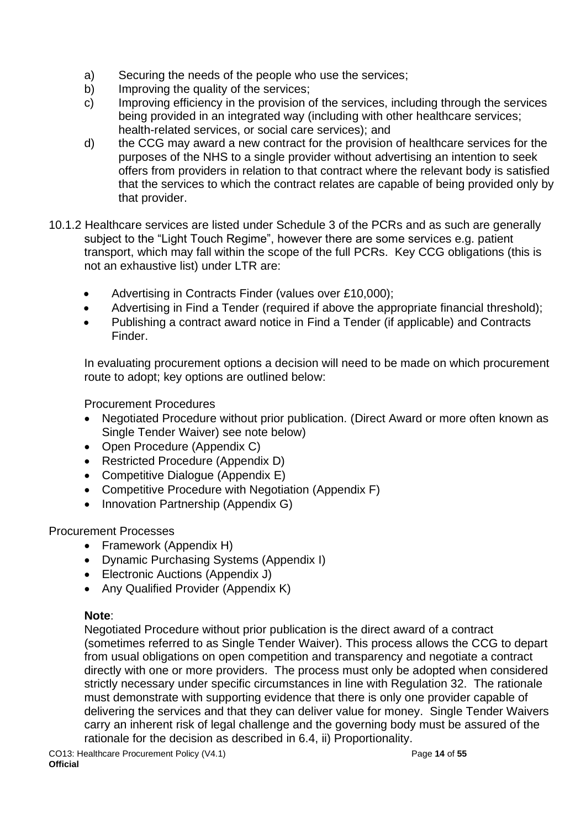- a) Securing the needs of the people who use the services;
- b) Improving the quality of the services;
- c) Improving efficiency in the provision of the services, including through the services being provided in an integrated way (including with other healthcare services; health-related services, or social care services); and
- d) the CCG may award a new contract for the provision of healthcare services for the purposes of the NHS to a single provider without advertising an intention to seek offers from providers in relation to that contract where the relevant body is satisfied that the services to which the contract relates are capable of being provided only by that provider.
- 10.1.2 Healthcare services are listed under Schedule 3 of the PCRs and as such are generally subject to the "Light Touch Regime", however there are some services e.g. patient transport, which may fall within the scope of the full PCRs. Key CCG obligations (this is not an exhaustive list) under LTR are:
	- Advertising in Contracts Finder (values over £10,000);
	- Advertising in Find a Tender (required if above the appropriate financial threshold);
	- Publishing a contract award notice in Find a Tender (if applicable) and Contracts Finder.

In evaluating procurement options a decision will need to be made on which procurement route to adopt; key options are outlined below:

Procurement Procedures

- Negotiated Procedure without prior publication. (Direct Award or more often known as Single Tender Waiver) see note below)
- Open Procedure (Appendix C)
- Restricted Procedure (Appendix D)
- Competitive Dialogue (Appendix E)
- Competitive Procedure with Negotiation (Appendix F)
- Innovation Partnership (Appendix G)

## Procurement Processes

- Framework (Appendix H)
- Dynamic Purchasing Systems (Appendix I)
- Electronic Auctions (Appendix J)
- Any Qualified Provider (Appendix K)

## **Note**:

Negotiated Procedure without prior publication is the direct award of a contract (sometimes referred to as Single Tender Waiver). This process allows the CCG to depart from usual obligations on open competition and transparency and negotiate a contract directly with one or more providers. The process must only be adopted when considered strictly necessary under specific circumstances in line with Regulation 32. The rationale must demonstrate with supporting evidence that there is only one provider capable of delivering the services and that they can deliver value for money. Single Tender Waivers carry an inherent risk of legal challenge and the governing body must be assured of the rationale for the decision as described in 6.4, ii) Proportionality.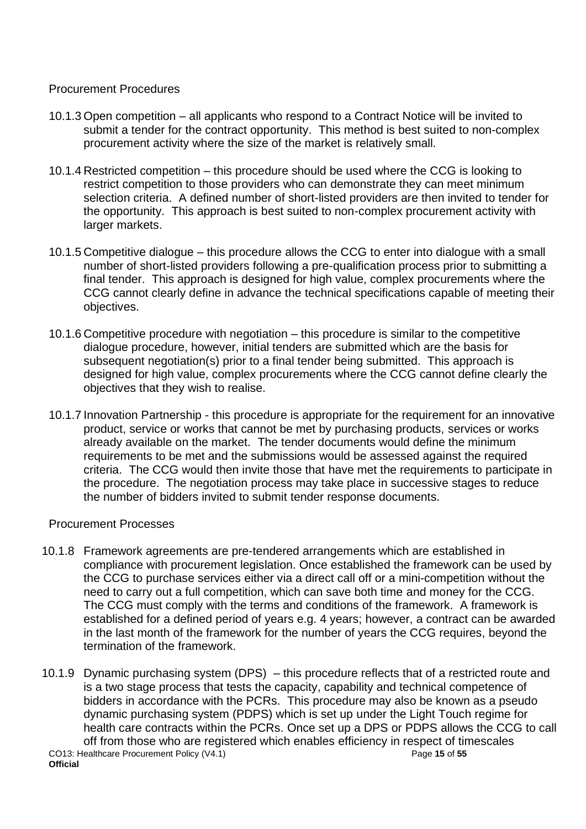## Procurement Procedures

- 10.1.3 Open competition all applicants who respond to a Contract Notice will be invited to submit a tender for the contract opportunity. This method is best suited to non-complex procurement activity where the size of the market is relatively small.
- 10.1.4 Restricted competition this procedure should be used where the CCG is looking to restrict competition to those providers who can demonstrate they can meet minimum selection criteria. A defined number of short-listed providers are then invited to tender for the opportunity. This approach is best suited to non-complex procurement activity with larger markets.
- 10.1.5 Competitive dialogue this procedure allows the CCG to enter into dialogue with a small number of short-listed providers following a pre-qualification process prior to submitting a final tender. This approach is designed for high value, complex procurements where the CCG cannot clearly define in advance the technical specifications capable of meeting their objectives.
- 10.1.6 Competitive procedure with negotiation this procedure is similar to the competitive dialogue procedure, however, initial tenders are submitted which are the basis for subsequent negotiation(s) prior to a final tender being submitted. This approach is designed for high value, complex procurements where the CCG cannot define clearly the objectives that they wish to realise.
- 10.1.7 Innovation Partnership this procedure is appropriate for the requirement for an innovative product, service or works that cannot be met by purchasing products, services or works already available on the market. The tender documents would define the minimum requirements to be met and the submissions would be assessed against the required criteria. The CCG would then invite those that have met the requirements to participate in the procedure. The negotiation process may take place in successive stages to reduce the number of bidders invited to submit tender response documents.

### Procurement Processes

- 10.1.8 Framework agreements are pre-tendered arrangements which are established in compliance with procurement legislation. Once established the framework can be used by the CCG to purchase services either via a direct call off or a mini-competition without the need to carry out a full competition, which can save both time and money for the CCG. The CCG must comply with the terms and conditions of the framework. A framework is established for a defined period of years e.g. 4 years; however, a contract can be awarded in the last month of the framework for the number of years the CCG requires, beyond the termination of the framework.
- CO13: Healthcare Procurement Policy (V4.1) Page **15** of **55 Official** 10.1.9 Dynamic purchasing system (DPS) – this procedure reflects that of a restricted route and is a two stage process that tests the capacity, capability and technical competence of bidders in accordance with the PCRs. This procedure may also be known as a pseudo dynamic purchasing system (PDPS) which is set up under the Light Touch regime for health care contracts within the PCRs. Once set up a DPS or PDPS allows the CCG to call off from those who are registered which enables efficiency in respect of timescales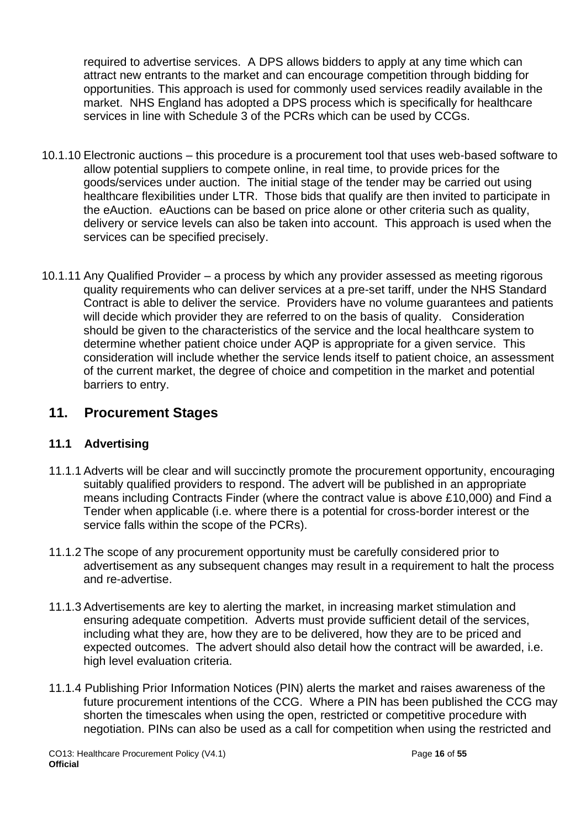required to advertise services. A DPS allows bidders to apply at any time which can attract new entrants to the market and can encourage competition through bidding for opportunities. This approach is used for commonly used services readily available in the market. NHS England has adopted a DPS process which is specifically for healthcare services in line with Schedule 3 of the PCRs which can be used by CCGs.

- 10.1.10 Electronic auctions this procedure is a procurement tool that uses web-based software to allow potential suppliers to compete online, in real time, to provide prices for the goods/services under auction. The initial stage of the tender may be carried out using healthcare flexibilities under LTR. Those bids that qualify are then invited to participate in the eAuction. eAuctions can be based on price alone or other criteria such as quality, delivery or service levels can also be taken into account. This approach is used when the services can be specified precisely.
- 10.1.11 Any Qualified Provider a process by which any provider assessed as meeting rigorous quality requirements who can deliver services at a pre-set tariff, under the NHS Standard Contract is able to deliver the service. Providers have no volume guarantees and patients will decide which provider they are referred to on the basis of quality. Consideration should be given to the characteristics of the service and the local healthcare system to determine whether patient choice under AQP is appropriate for a given service. This consideration will include whether the service lends itself to patient choice, an assessment of the current market, the degree of choice and competition in the market and potential barriers to entry.

# <span id="page-15-0"></span>**11. Procurement Stages**

## **11.1 Advertising**

- 11.1.1 Adverts will be clear and will succinctly promote the procurement opportunity, encouraging suitably qualified providers to respond. The advert will be published in an appropriate means including Contracts Finder (where the contract value is above £10,000) and Find a Tender when applicable (i.e. where there is a potential for cross-border interest or the service falls within the scope of the PCRs).
- 11.1.2 The scope of any procurement opportunity must be carefully considered prior to advertisement as any subsequent changes may result in a requirement to halt the process and re-advertise.
- 11.1.3 Advertisements are key to alerting the market, in increasing market stimulation and ensuring adequate competition. Adverts must provide sufficient detail of the services, including what they are, how they are to be delivered, how they are to be priced and expected outcomes. The advert should also detail how the contract will be awarded, i.e. high level evaluation criteria.
- 11.1.4 Publishing Prior Information Notices (PIN) alerts the market and raises awareness of the future procurement intentions of the CCG. Where a PIN has been published the CCG may shorten the timescales when using the open, restricted or competitive procedure with negotiation. PINs can also be used as a call for competition when using the restricted and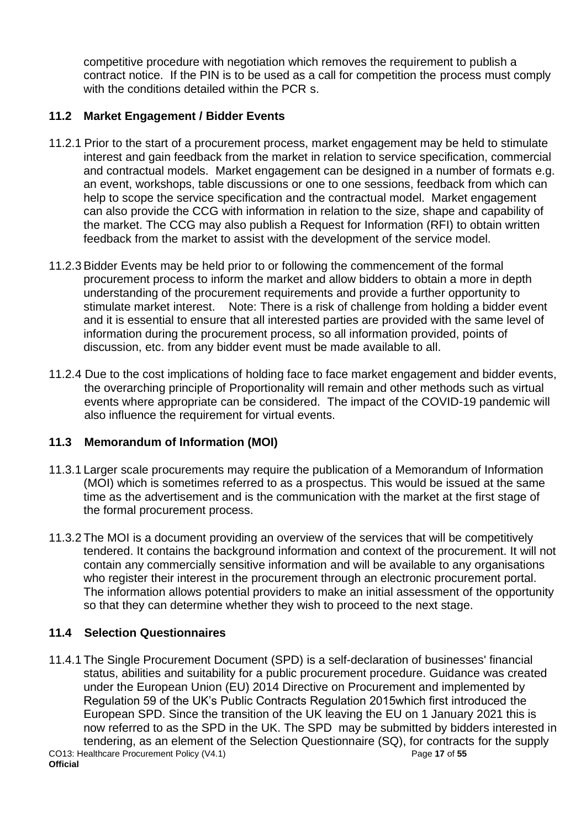competitive procedure with negotiation which removes the requirement to publish a contract notice. If the PIN is to be used as a call for competition the process must comply with the conditions detailed within the PCR s.

## **11.2 Market Engagement / Bidder Events**

- 11.2.1 Prior to the start of a procurement process, market engagement may be held to stimulate interest and gain feedback from the market in relation to service specification, commercial and contractual models. Market engagement can be designed in a number of formats e.g. an event, workshops, table discussions or one to one sessions, feedback from which can help to scope the service specification and the contractual model. Market engagement can also provide the CCG with information in relation to the size, shape and capability of the market. The CCG may also publish a Request for Information (RFI) to obtain written feedback from the market to assist with the development of the service model.
- 11.2.3 Bidder Events may be held prior to or following the commencement of the formal procurement process to inform the market and allow bidders to obtain a more in depth understanding of the procurement requirements and provide a further opportunity to stimulate market interest. Note: There is a risk of challenge from holding a bidder event and it is essential to ensure that all interested parties are provided with the same level of information during the procurement process, so all information provided, points of discussion, etc. from any bidder event must be made available to all.
- 11.2.4 Due to the cost implications of holding face to face market engagement and bidder events, the overarching principle of Proportionality will remain and other methods such as virtual events where appropriate can be considered. The impact of the COVID-19 pandemic will also influence the requirement for virtual events.

## **11.3 Memorandum of Information (MOI)**

- 11.3.1 Larger scale procurements may require the publication of a Memorandum of Information (MOI) which is sometimes referred to as a prospectus. This would be issued at the same time as the advertisement and is the communication with the market at the first stage of the formal procurement process.
- 11.3.2 The MOI is a document providing an overview of the services that will be competitively tendered. It contains the background information and context of the procurement. It will not contain any commercially sensitive information and will be available to any organisations who register their interest in the procurement through an electronic procurement portal. The information allows potential providers to make an initial assessment of the opportunity so that they can determine whether they wish to proceed to the next stage.

## **11.4 Selection Questionnaires**

CO13: Healthcare Procurement Policy (V4.1) Page **17** of **55 Official** 11.4.1 The Single Procurement Document (SPD) is a self-declaration of businesses' financial status, abilities and suitability for a public procurement procedure. Guidance was created under the European Union (EU) 2014 Directive on Procurement and implemented by Regulation 59 of the UK's Public Contracts Regulation 2015which first introduced the European SPD. Since the transition of the UK leaving the EU on 1 January 2021 this is now referred to as the SPD in the UK. The SPD may be submitted by bidders interested in tendering, as an element of the Selection Questionnaire (SQ), for contracts for the supply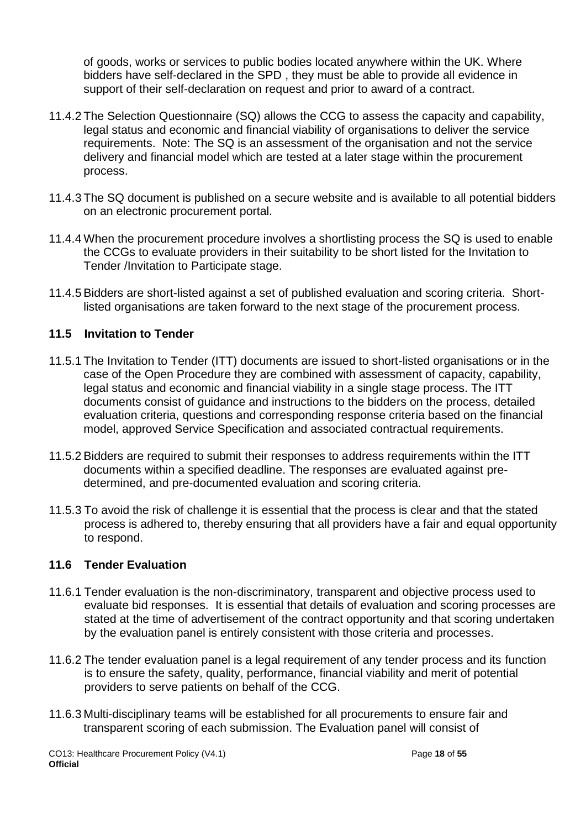of goods, works or services to public bodies located anywhere within the UK. Where bidders have self-declared in the SPD , they must be able to provide all evidence in support of their self-declaration on request and prior to award of a contract.

- 11.4.2 The Selection Questionnaire (SQ) allows the CCG to assess the capacity and capability, legal status and economic and financial viability of organisations to deliver the service requirements. Note: The SQ is an assessment of the organisation and not the service delivery and financial model which are tested at a later stage within the procurement process.
- 11.4.3 The SQ document is published on a secure website and is available to all potential bidders on an electronic procurement portal.
- 11.4.4 When the procurement procedure involves a shortlisting process the SQ is used to enable the CCGs to evaluate providers in their suitability to be short listed for the Invitation to Tender /Invitation to Participate stage.
- 11.4.5 Bidders are short-listed against a set of published evaluation and scoring criteria. Shortlisted organisations are taken forward to the next stage of the procurement process.

## **11.5 Invitation to Tender**

- 11.5.1 The Invitation to Tender (ITT) documents are issued to short-listed organisations or in the case of the Open Procedure they are combined with assessment of capacity, capability, legal status and economic and financial viability in a single stage process. The ITT documents consist of guidance and instructions to the bidders on the process, detailed evaluation criteria, questions and corresponding response criteria based on the financial model, approved Service Specification and associated contractual requirements.
- 11.5.2 Bidders are required to submit their responses to address requirements within the ITT documents within a specified deadline. The responses are evaluated against predetermined, and pre-documented evaluation and scoring criteria.
- 11.5.3 To avoid the risk of challenge it is essential that the process is clear and that the stated process is adhered to, thereby ensuring that all providers have a fair and equal opportunity to respond.

## **11.6 Tender Evaluation**

- 11.6.1 Tender evaluation is the non-discriminatory, transparent and objective process used to evaluate bid responses. It is essential that details of evaluation and scoring processes are stated at the time of advertisement of the contract opportunity and that scoring undertaken by the evaluation panel is entirely consistent with those criteria and processes.
- 11.6.2 The tender evaluation panel is a legal requirement of any tender process and its function is to ensure the safety, quality, performance, financial viability and merit of potential providers to serve patients on behalf of the CCG.
- 11.6.3 Multi-disciplinary teams will be established for all procurements to ensure fair and transparent scoring of each submission. The Evaluation panel will consist of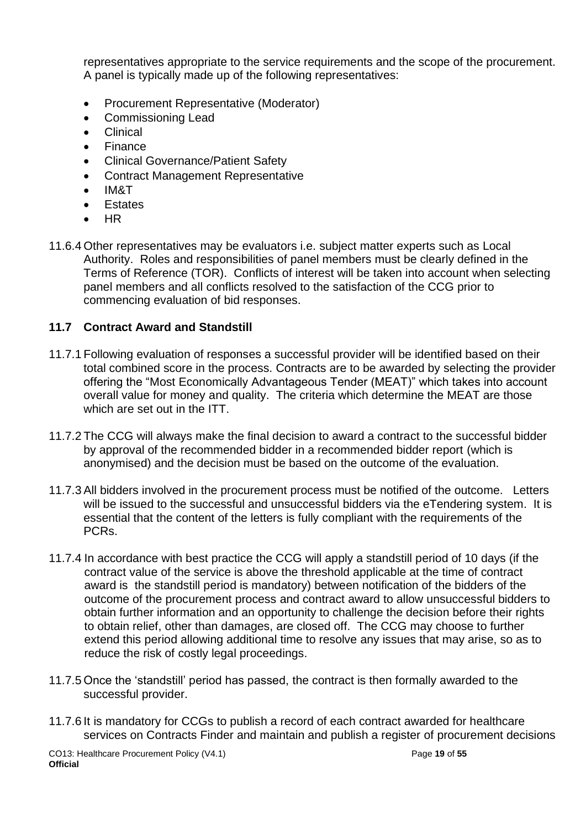representatives appropriate to the service requirements and the scope of the procurement. A panel is typically made up of the following representatives:

- Procurement Representative (Moderator)
- Commissioning Lead
- Clinical
- **Finance**
- Clinical Governance/Patient Safety
- Contract Management Representative
- IM&T
- **Estates**
- HR
- 11.6.4 Other representatives may be evaluators i.e. subject matter experts such as Local Authority. Roles and responsibilities of panel members must be clearly defined in the Terms of Reference (TOR). Conflicts of interest will be taken into account when selecting panel members and all conflicts resolved to the satisfaction of the CCG prior to commencing evaluation of bid responses.

### **11.7 Contract Award and Standstill**

- 11.7.1 Following evaluation of responses a successful provider will be identified based on their total combined score in the process. Contracts are to be awarded by selecting the provider offering the "Most Economically Advantageous Tender (MEAT)" which takes into account overall value for money and quality. The criteria which determine the MEAT are those which are set out in the ITT.
- 11.7.2 The CCG will always make the final decision to award a contract to the successful bidder by approval of the recommended bidder in a recommended bidder report (which is anonymised) and the decision must be based on the outcome of the evaluation.
- 11.7.3 All bidders involved in the procurement process must be notified of the outcome. Letters will be issued to the successful and unsuccessful bidders via the eTendering system. It is essential that the content of the letters is fully compliant with the requirements of the PCRs.
- 11.7.4 In accordance with best practice the CCG will apply a standstill period of 10 days (if the contract value of the service is above the threshold applicable at the time of contract award is the standstill period is mandatory) between notification of the bidders of the outcome of the procurement process and contract award to allow unsuccessful bidders to obtain further information and an opportunity to challenge the decision before their rights to obtain relief, other than damages, are closed off. The CCG may choose to further extend this period allowing additional time to resolve any issues that may arise, so as to reduce the risk of costly legal proceedings.
- 11.7.5 Once the 'standstill' period has passed, the contract is then formally awarded to the successful provider.
- 11.7.6 It is mandatory for CCGs to publish a record of each contract awarded for healthcare services on Contracts Finder and maintain and publish a register of procurement decisions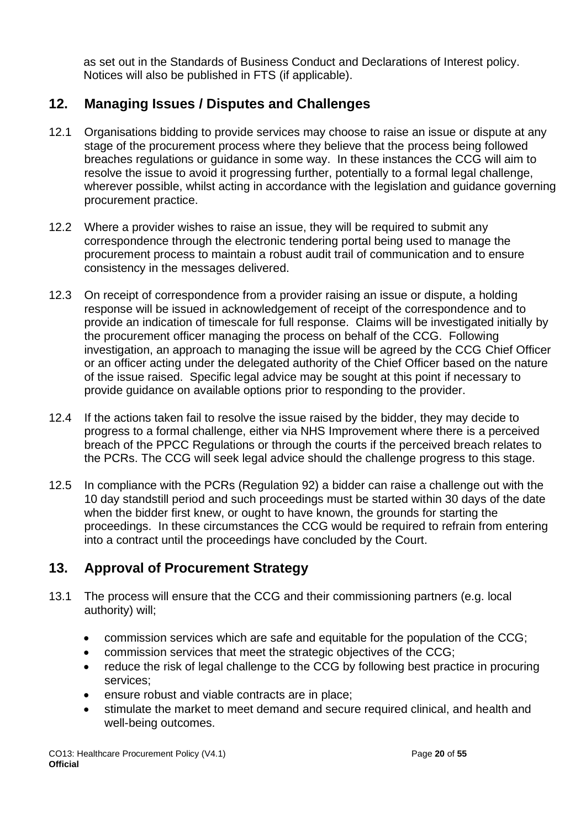as set out in the Standards of Business Conduct and Declarations of Interest policy. Notices will also be published in FTS (if applicable).

# <span id="page-19-0"></span>**12. Managing Issues / Disputes and Challenges**

- 12.1 Organisations bidding to provide services may choose to raise an issue or dispute at any stage of the procurement process where they believe that the process being followed breaches regulations or guidance in some way. In these instances the CCG will aim to resolve the issue to avoid it progressing further, potentially to a formal legal challenge, wherever possible, whilst acting in accordance with the legislation and guidance governing procurement practice.
- 12.2 Where a provider wishes to raise an issue, they will be required to submit any correspondence through the electronic tendering portal being used to manage the procurement process to maintain a robust audit trail of communication and to ensure consistency in the messages delivered.
- 12.3 On receipt of correspondence from a provider raising an issue or dispute, a holding response will be issued in acknowledgement of receipt of the correspondence and to provide an indication of timescale for full response. Claims will be investigated initially by the procurement officer managing the process on behalf of the CCG. Following investigation, an approach to managing the issue will be agreed by the CCG Chief Officer or an officer acting under the delegated authority of the Chief Officer based on the nature of the issue raised. Specific legal advice may be sought at this point if necessary to provide guidance on available options prior to responding to the provider.
- 12.4 If the actions taken fail to resolve the issue raised by the bidder, they may decide to progress to a formal challenge, either via NHS Improvement where there is a perceived breach of the PPCC Regulations or through the courts if the perceived breach relates to the PCRs. The CCG will seek legal advice should the challenge progress to this stage.
- 12.5 In compliance with the PCRs (Regulation 92) a bidder can raise a challenge out with the 10 day standstill period and such proceedings must be started within 30 days of the date when the bidder first knew, or ought to have known, the grounds for starting the proceedings. In these circumstances the CCG would be required to refrain from entering into a contract until the proceedings have concluded by the Court.

# <span id="page-19-1"></span>**13. Approval of Procurement Strategy**

- 13.1 The process will ensure that the CCG and their commissioning partners (e.g. local authority) will;
	- commission services which are safe and equitable for the population of the CCG;
	- commission services that meet the strategic objectives of the CCG;
	- reduce the risk of legal challenge to the CCG by following best practice in procuring services;
	- ensure robust and viable contracts are in place;
	- stimulate the market to meet demand and secure required clinical, and health and well-being outcomes.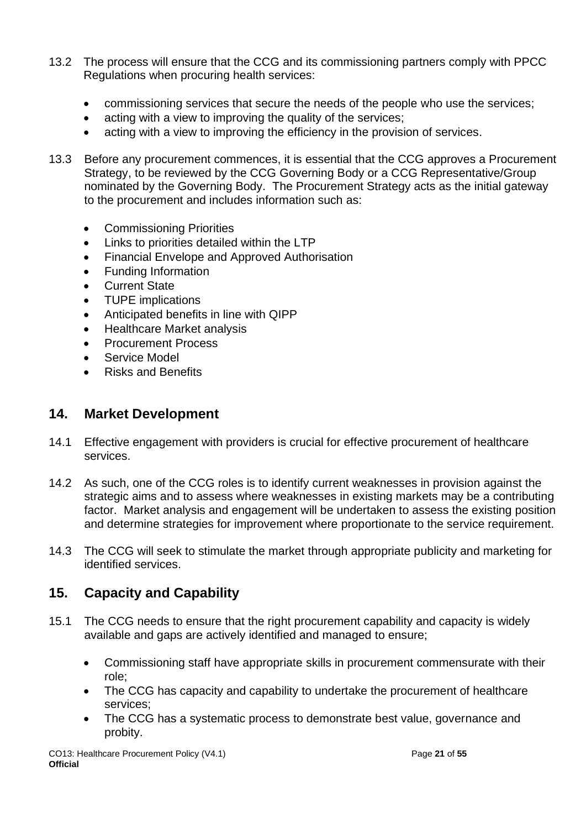- 13.2 The process will ensure that the CCG and its commissioning partners comply with PPCC Regulations when procuring health services:
	- commissioning services that secure the needs of the people who use the services;
	- acting with a view to improving the quality of the services;
	- acting with a view to improving the efficiency in the provision of services.
- 13.3 Before any procurement commences, it is essential that the CCG approves a Procurement Strategy, to be reviewed by the CCG Governing Body or a CCG Representative/Group nominated by the Governing Body. The Procurement Strategy acts as the initial gateway to the procurement and includes information such as:
	- Commissioning Priorities
	- Links to priorities detailed within the LTP
	- Financial Envelope and Approved Authorisation
	- Funding Information
	- Current State
	- TUPE implications
	- Anticipated benefits in line with QIPP
	- Healthcare Market analysis
	- Procurement Process
	- Service Model
	- Risks and Benefits

# <span id="page-20-0"></span>**14. Market Development**

- 14.1 Effective engagement with providers is crucial for effective procurement of healthcare services.
- 14.2 As such, one of the CCG roles is to identify current weaknesses in provision against the strategic aims and to assess where weaknesses in existing markets may be a contributing factor. Market analysis and engagement will be undertaken to assess the existing position and determine strategies for improvement where proportionate to the service requirement.
- 14.3 The CCG will seek to stimulate the market through appropriate publicity and marketing for identified services.

# <span id="page-20-1"></span>**15. Capacity and Capability**

- 15.1 The CCG needs to ensure that the right procurement capability and capacity is widely available and gaps are actively identified and managed to ensure;
	- Commissioning staff have appropriate skills in procurement commensurate with their role;
	- The CCG has capacity and capability to undertake the procurement of healthcare services;
	- The CCG has a systematic process to demonstrate best value, governance and probity.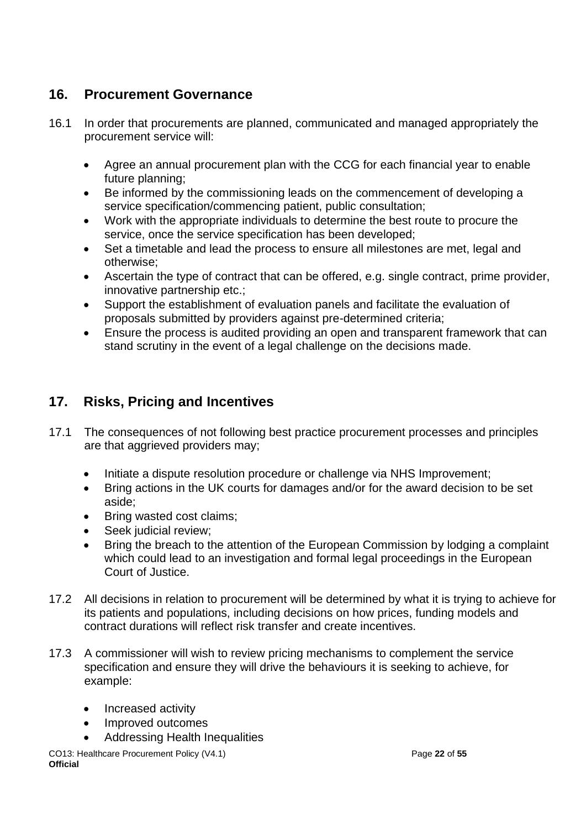# <span id="page-21-0"></span>**16. Procurement Governance**

- 16.1 In order that procurements are planned, communicated and managed appropriately the procurement service will:
	- Agree an annual procurement plan with the CCG for each financial year to enable future planning;
	- Be informed by the commissioning leads on the commencement of developing a service specification/commencing patient, public consultation;
	- Work with the appropriate individuals to determine the best route to procure the service, once the service specification has been developed;
	- Set a timetable and lead the process to ensure all milestones are met, legal and otherwise;
	- Ascertain the type of contract that can be offered, e.g. single contract, prime provider, innovative partnership etc.;
	- Support the establishment of evaluation panels and facilitate the evaluation of proposals submitted by providers against pre-determined criteria;
	- Ensure the process is audited providing an open and transparent framework that can stand scrutiny in the event of a legal challenge on the decisions made.

# <span id="page-21-1"></span>**17. Risks, Pricing and Incentives**

- 17.1 The consequences of not following best practice procurement processes and principles are that aggrieved providers may;
	- Initiate a dispute resolution procedure or challenge via NHS Improvement;
	- Bring actions in the UK courts for damages and/or for the award decision to be set aside;
	- Bring wasted cost claims;
	- Seek judicial review;
	- Bring the breach to the attention of the European Commission by lodging a complaint which could lead to an investigation and formal legal proceedings in the European Court of Justice.
- 17.2 All decisions in relation to procurement will be determined by what it is trying to achieve for its patients and populations, including decisions on how prices, funding models and contract durations will reflect risk transfer and create incentives.
- 17.3 A commissioner will wish to review pricing mechanisms to complement the service specification and ensure they will drive the behaviours it is seeking to achieve, for example:
	- Increased activity
	- Improved outcomes
	- Addressing Health Inequalities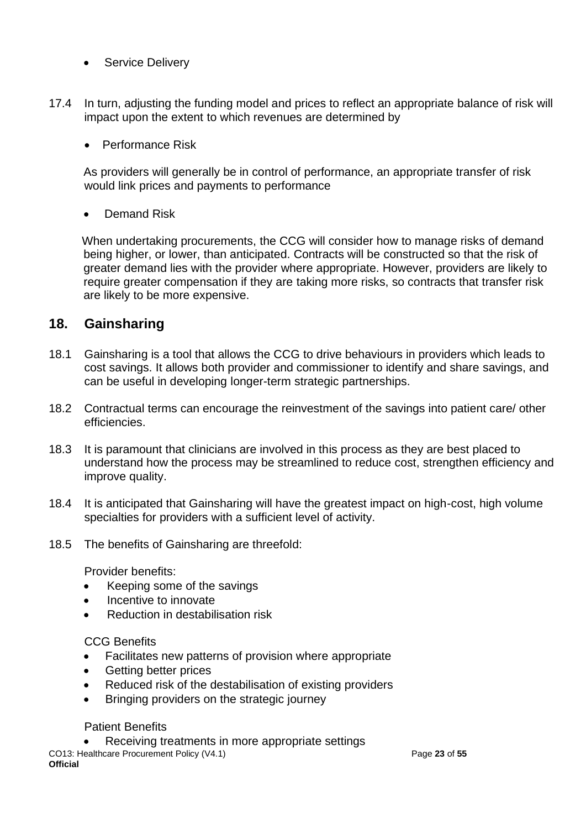- Service Deliverv
- 17.4 In turn, adjusting the funding model and prices to reflect an appropriate balance of risk will impact upon the extent to which revenues are determined by
	- Performance Risk

As providers will generally be in control of performance, an appropriate transfer of risk would link prices and payments to performance

Demand Risk

When undertaking procurements, the CCG will consider how to manage risks of demand being higher, or lower, than anticipated. Contracts will be constructed so that the risk of greater demand lies with the provider where appropriate. However, providers are likely to require greater compensation if they are taking more risks, so contracts that transfer risk are likely to be more expensive.

# <span id="page-22-0"></span>**18. Gainsharing**

- 18.1 Gainsharing is a tool that allows the CCG to drive behaviours in providers which leads to cost savings. It allows both provider and commissioner to identify and share savings, and can be useful in developing longer-term strategic partnerships.
- 18.2 Contractual terms can encourage the reinvestment of the savings into patient care/ other efficiencies.
- 18.3 It is paramount that clinicians are involved in this process as they are best placed to understand how the process may be streamlined to reduce cost, strengthen efficiency and improve quality.
- 18.4 It is anticipated that Gainsharing will have the greatest impact on high-cost, high volume specialties for providers with a sufficient level of activity.
- 18.5 The benefits of Gainsharing are threefold:

Provider benefits:

- Keeping some of the savings
- Incentive to innovate
- Reduction in destabilisation risk

### CCG Benefits

- Facilitates new patterns of provision where appropriate
- Getting better prices
- Reduced risk of the destabilisation of existing providers
- Bringing providers on the strategic journey

### Patient Benefits

Receiving treatments in more appropriate settings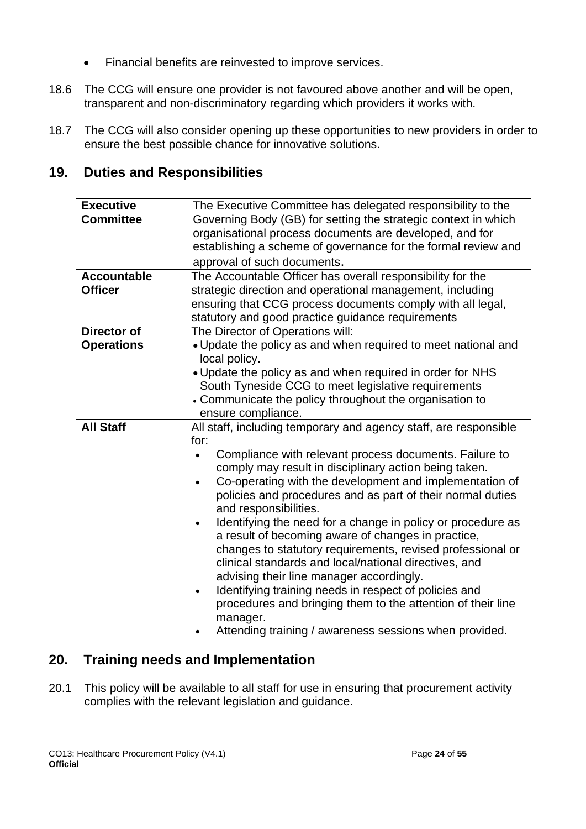- Financial benefits are reinvested to improve services.
- 18.6 The CCG will ensure one provider is not favoured above another and will be open, transparent and non-discriminatory regarding which providers it works with.
- 18.7 The CCG will also consider opening up these opportunities to new providers in order to ensure the best possible chance for innovative solutions.

# <span id="page-23-0"></span>**19. Duties and Responsibilities**

| <b>Executive</b><br><b>Committee</b> | The Executive Committee has delegated responsibility to the<br>Governing Body (GB) for setting the strategic context in which<br>organisational process documents are developed, and for<br>establishing a scheme of governance for the formal review and<br>approval of such documents.                                                                                                                                                                                           |  |  |  |  |  |
|--------------------------------------|------------------------------------------------------------------------------------------------------------------------------------------------------------------------------------------------------------------------------------------------------------------------------------------------------------------------------------------------------------------------------------------------------------------------------------------------------------------------------------|--|--|--|--|--|
| <b>Accountable</b>                   | The Accountable Officer has overall responsibility for the                                                                                                                                                                                                                                                                                                                                                                                                                         |  |  |  |  |  |
| <b>Officer</b>                       | strategic direction and operational management, including                                                                                                                                                                                                                                                                                                                                                                                                                          |  |  |  |  |  |
|                                      | ensuring that CCG process documents comply with all legal,                                                                                                                                                                                                                                                                                                                                                                                                                         |  |  |  |  |  |
|                                      | statutory and good practice guidance requirements                                                                                                                                                                                                                                                                                                                                                                                                                                  |  |  |  |  |  |
| <b>Director of</b>                   | The Director of Operations will:                                                                                                                                                                                                                                                                                                                                                                                                                                                   |  |  |  |  |  |
| <b>Operations</b>                    | . Update the policy as and when required to meet national and<br>local policy.                                                                                                                                                                                                                                                                                                                                                                                                     |  |  |  |  |  |
|                                      | . Update the policy as and when required in order for NHS                                                                                                                                                                                                                                                                                                                                                                                                                          |  |  |  |  |  |
|                                      | South Tyneside CCG to meet legislative requirements                                                                                                                                                                                                                                                                                                                                                                                                                                |  |  |  |  |  |
|                                      | • Communicate the policy throughout the organisation to                                                                                                                                                                                                                                                                                                                                                                                                                            |  |  |  |  |  |
|                                      | ensure compliance.                                                                                                                                                                                                                                                                                                                                                                                                                                                                 |  |  |  |  |  |
| <b>All Staff</b>                     | All staff, including temporary and agency staff, are responsible                                                                                                                                                                                                                                                                                                                                                                                                                   |  |  |  |  |  |
|                                      | for:                                                                                                                                                                                                                                                                                                                                                                                                                                                                               |  |  |  |  |  |
|                                      | Compliance with relevant process documents. Failure to<br>$\bullet$<br>comply may result in disciplinary action being taken.<br>Co-operating with the development and implementation of<br>policies and procedures and as part of their normal duties<br>and responsibilities.                                                                                                                                                                                                     |  |  |  |  |  |
|                                      | Identifying the need for a change in policy or procedure as<br>a result of becoming aware of changes in practice,<br>changes to statutory requirements, revised professional or<br>clinical standards and local/national directives, and<br>advising their line manager accordingly.<br>Identifying training needs in respect of policies and<br>procedures and bringing them to the attention of their line<br>manager.<br>Attending training / awareness sessions when provided. |  |  |  |  |  |

# <span id="page-23-1"></span>**20. Training needs and Implementation**

20.1 This policy will be available to all staff for use in ensuring that procurement activity complies with the relevant legislation and guidance.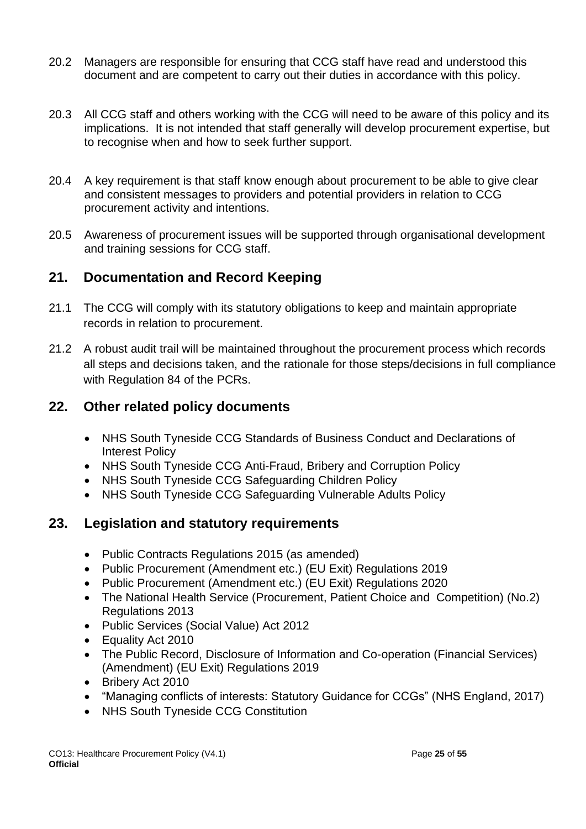- 20.2 Managers are responsible for ensuring that CCG staff have read and understood this document and are competent to carry out their duties in accordance with this policy.
- 20.3 All CCG staff and others working with the CCG will need to be aware of this policy and its implications. It is not intended that staff generally will develop procurement expertise, but to recognise when and how to seek further support.
- 20.4 A key requirement is that staff know enough about procurement to be able to give clear and consistent messages to providers and potential providers in relation to CCG procurement activity and intentions.
- 20.5 Awareness of procurement issues will be supported through organisational development and training sessions for CCG staff.

# <span id="page-24-0"></span>**21. Documentation and Record Keeping**

- 21.1 The CCG will comply with its statutory obligations to keep and maintain appropriate records in relation to procurement.
- 21.2 A robust audit trail will be maintained throughout the procurement process which records all steps and decisions taken, and the rationale for those steps/decisions in full compliance with Regulation 84 of the PCRs.

# <span id="page-24-1"></span>**22. Other related policy documents**

- NHS South Tyneside CCG Standards of Business Conduct and Declarations of Interest Policy
- NHS South Tyneside CCG Anti-Fraud, Bribery and Corruption Policy
- NHS South Tyneside CCG Safeguarding Children Policy
- NHS South Tyneside CCG Safeguarding Vulnerable Adults Policy

# <span id="page-24-2"></span>**23. Legislation and statutory requirements**

- Public Contracts Regulations 2015 (as amended)
- Public Procurement (Amendment etc.) (EU Exit) Regulations 2019
- Public Procurement (Amendment etc.) (EU Exit) Regulations 2020
- The National Health Service (Procurement, Patient Choice and Competition) (No.2) Regulations 2013
- Public Services (Social Value) Act 2012
- Equality Act 2010
- The Public Record, Disclosure of Information and Co-operation (Financial Services) (Amendment) (EU Exit) Regulations 2019
- Bribery Act 2010
- "Managing conflicts of interests: Statutory Guidance for CCGs" (NHS England, 2017)
- NHS South Tyneside CCG Constitution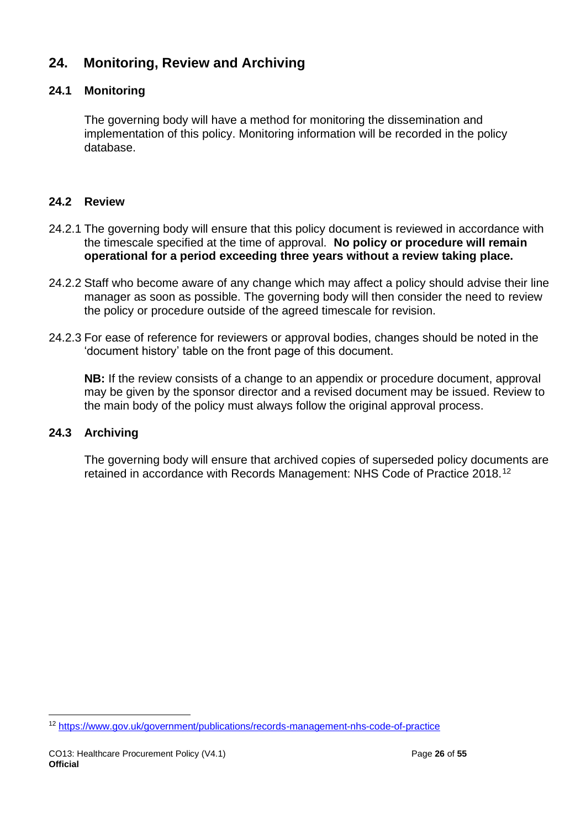# <span id="page-25-0"></span>**24. Monitoring, Review and Archiving**

## **24.1 Monitoring**

The governing body will have a method for monitoring the dissemination and implementation of this policy. Monitoring information will be recorded in the policy database.

# **24.2 Review**

- 24.2.1 The governing body will ensure that this policy document is reviewed in accordance with the timescale specified at the time of approval. **No policy or procedure will remain operational for a period exceeding three years without a review taking place.**
- 24.2.2 Staff who become aware of any change which may affect a policy should advise their line manager as soon as possible. The governing body will then consider the need to review the policy or procedure outside of the agreed timescale for revision.
- 24.2.3 For ease of reference for reviewers or approval bodies, changes should be noted in the 'document history' table on the front page of this document.

**NB:** If the review consists of a change to an appendix or procedure document, approval may be given by the sponsor director and a revised document may be issued. Review to the main body of the policy must always follow the original approval process.

## **24.3 Archiving**

The governing body will ensure that archived copies of superseded policy documents are retained in accordance with Records Management: NHS Code of Practice 2018.<sup>12</sup>

<sup>12</sup> <https://www.gov.uk/government/publications/records-management-nhs-code-of-practice>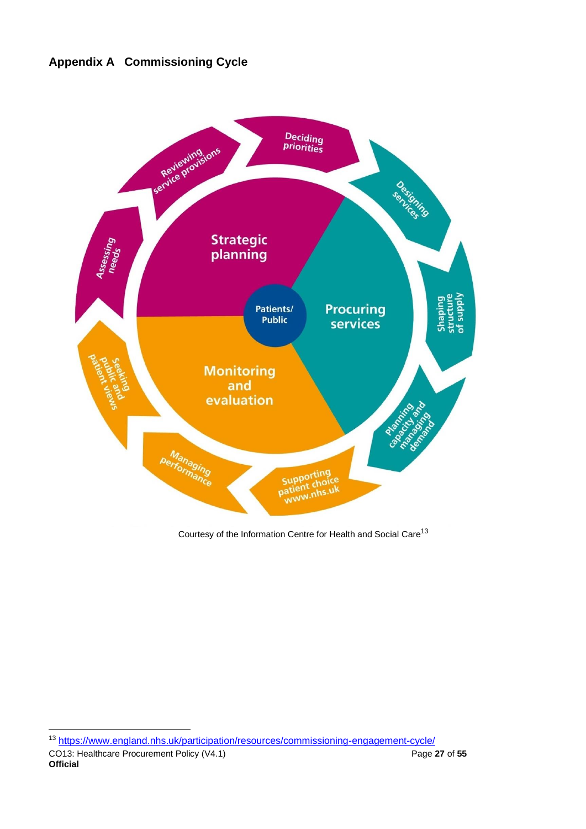# <span id="page-26-0"></span>**Appendix A Commissioning Cycle**



Courtesy of the Information Centre for Health and Social Care<sup>13</sup>

<sup>13</sup> <https://www.england.nhs.uk/participation/resources/commissioning-engagement-cycle/>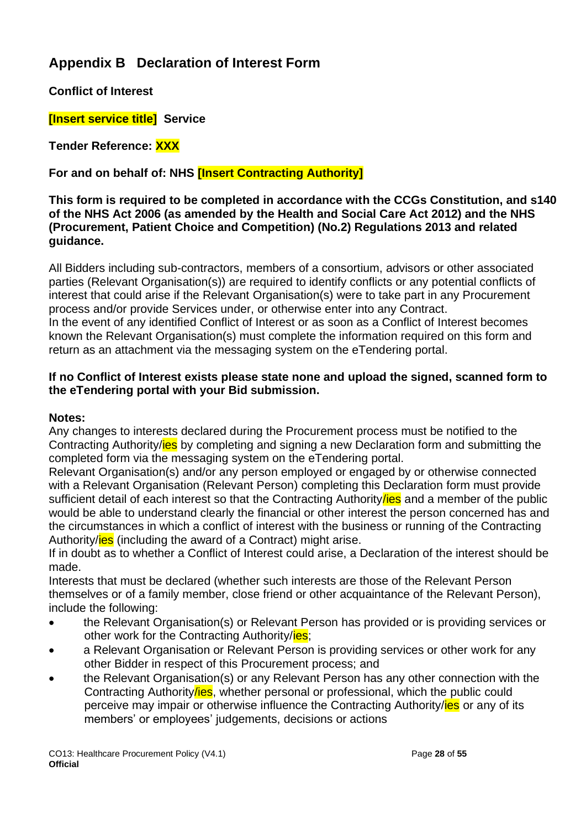# <span id="page-27-0"></span>**Appendix B Declaration of Interest Form**

**Conflict of Interest**

**[Insert service title] Service**

**Tender Reference: XXX**

**For and on behalf of: NHS [Insert Contracting Authority]**

**This form is required to be completed in accordance with the CCGs Constitution, and s140 of the NHS Act 2006 (as amended by the Health and Social Care Act 2012) and the NHS (Procurement, Patient Choice and Competition) (No.2) Regulations 2013 and related guidance.**

All Bidders including sub-contractors, members of a consortium, advisors or other associated parties (Relevant Organisation(s)) are required to identify conflicts or any potential conflicts of interest that could arise if the Relevant Organisation(s) were to take part in any Procurement process and/or provide Services under, or otherwise enter into any Contract. In the event of any identified Conflict of Interest or as soon as a Conflict of Interest becomes known the Relevant Organisation(s) must complete the information required on this form and return as an attachment via the messaging system on the eTendering portal.

### **If no Conflict of Interest exists please state none and upload the signed, scanned form to the eTendering portal with your Bid submission.**

### **Notes:**

Any changes to interests declared during the Procurement process must be notified to the Contracting Authority/**ies** by completing and signing a new Declaration form and submitting the completed form via the messaging system on the eTendering portal.

Relevant Organisation(s) and/or any person employed or engaged by or otherwise connected with a Relevant Organisation (Relevant Person) completing this Declaration form must provide sufficient detail of each interest so that the Contracting Authority lies and a member of the public would be able to understand clearly the financial or other interest the person concerned has and the circumstances in which a conflict of interest with the business or running of the Contracting Authority/ies (including the award of a Contract) might arise.

If in doubt as to whether a Conflict of Interest could arise, a Declaration of the interest should be made.

Interests that must be declared (whether such interests are those of the Relevant Person themselves or of a family member, close friend or other acquaintance of the Relevant Person), include the following:

- the Relevant Organisation(s) or Relevant Person has provided or is providing services or other work for the Contracting Authority/ies;
- a Relevant Organisation or Relevant Person is providing services or other work for any other Bidder in respect of this Procurement process; and
- the Relevant Organisation(s) or any Relevant Person has any other connection with the Contracting Authority/ies, whether personal or professional, which the public could perceive may impair or otherwise influence the Contracting Authority/ies or any of its members' or employees' judgements, decisions or actions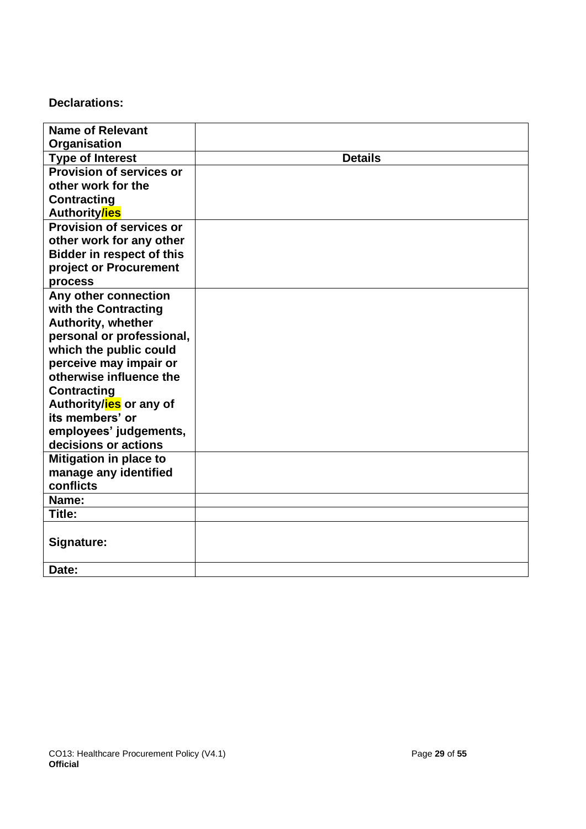## **Declarations:**

| <b>Name of Relevant</b>          |                |
|----------------------------------|----------------|
| Organisation                     |                |
| <b>Type of Interest</b>          | <b>Details</b> |
| <b>Provision of services or</b>  |                |
|                                  |                |
| other work for the               |                |
| <b>Contracting</b>               |                |
| <b>Authoritylies</b>             |                |
| <b>Provision of services or</b>  |                |
| other work for any other         |                |
| <b>Bidder in respect of this</b> |                |
| project or Procurement           |                |
| process                          |                |
| Any other connection             |                |
| with the Contracting             |                |
| <b>Authority, whether</b>        |                |
| personal or professional,        |                |
| which the public could           |                |
| perceive may impair or           |                |
| otherwise influence the          |                |
| <b>Contracting</b>               |                |
| Authority/ies or any of          |                |
| its members' or                  |                |
| employees' judgements,           |                |
| decisions or actions             |                |
| Mitigation in place to           |                |
| manage any identified            |                |
| conflicts                        |                |
| Name:                            |                |
| Title:                           |                |
|                                  |                |
| Signature:                       |                |
|                                  |                |
| Date:                            |                |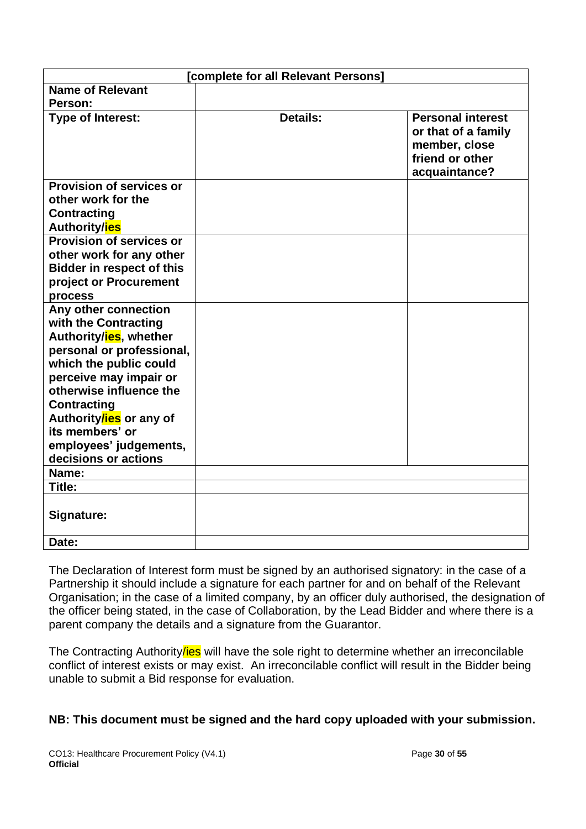| [complete for all Relevant Persons]               |          |                                                                                                      |  |  |
|---------------------------------------------------|----------|------------------------------------------------------------------------------------------------------|--|--|
| <b>Name of Relevant</b>                           |          |                                                                                                      |  |  |
| Person:                                           |          |                                                                                                      |  |  |
| <b>Type of Interest:</b>                          | Details: | <b>Personal interest</b><br>or that of a family<br>member, close<br>friend or other<br>acquaintance? |  |  |
| <b>Provision of services or</b>                   |          |                                                                                                      |  |  |
| other work for the                                |          |                                                                                                      |  |  |
| <b>Contracting</b>                                |          |                                                                                                      |  |  |
| Authority/ies                                     |          |                                                                                                      |  |  |
| Provision of services or                          |          |                                                                                                      |  |  |
| other work for any other                          |          |                                                                                                      |  |  |
| <b>Bidder in respect of this</b>                  |          |                                                                                                      |  |  |
| project or Procurement                            |          |                                                                                                      |  |  |
| process                                           |          |                                                                                                      |  |  |
| Any other connection                              |          |                                                                                                      |  |  |
| with the Contracting                              |          |                                                                                                      |  |  |
| Authority/ies, whether                            |          |                                                                                                      |  |  |
| personal or professional,                         |          |                                                                                                      |  |  |
| which the public could                            |          |                                                                                                      |  |  |
| perceive may impair or<br>otherwise influence the |          |                                                                                                      |  |  |
|                                                   |          |                                                                                                      |  |  |
| <b>Contracting</b><br>Authoritylies or any of     |          |                                                                                                      |  |  |
| its members' or                                   |          |                                                                                                      |  |  |
| employees' judgements,                            |          |                                                                                                      |  |  |
| decisions or actions                              |          |                                                                                                      |  |  |
| Name:                                             |          |                                                                                                      |  |  |
| Title:                                            |          |                                                                                                      |  |  |
|                                                   |          |                                                                                                      |  |  |
| Signature:                                        |          |                                                                                                      |  |  |
| Date:                                             |          |                                                                                                      |  |  |

The Declaration of Interest form must be signed by an authorised signatory: in the case of a Partnership it should include a signature for each partner for and on behalf of the Relevant Organisation; in the case of a limited company, by an officer duly authorised, the designation of the officer being stated, in the case of Collaboration, by the Lead Bidder and where there is a parent company the details and a signature from the Guarantor.

The Contracting Authority/ies will have the sole right to determine whether an irreconcilable conflict of interest exists or may exist. An irreconcilable conflict will result in the Bidder being unable to submit a Bid response for evaluation.

## **NB: This document must be signed and the hard copy uploaded with your submission.**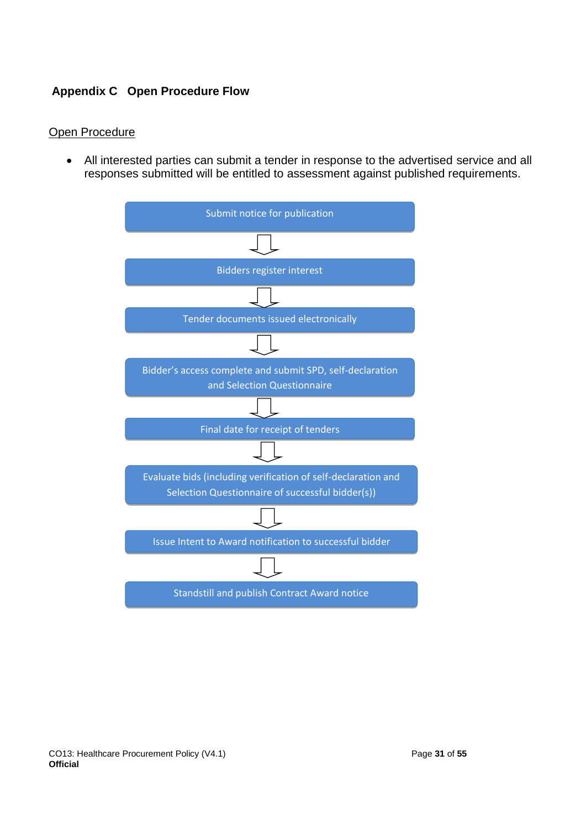## <span id="page-30-0"></span>**Appendix C Open Procedure Flow**

### Open Procedure

• All interested parties can submit a tender in response to the advertised service and all responses submitted will be entitled to assessment against published requirements.

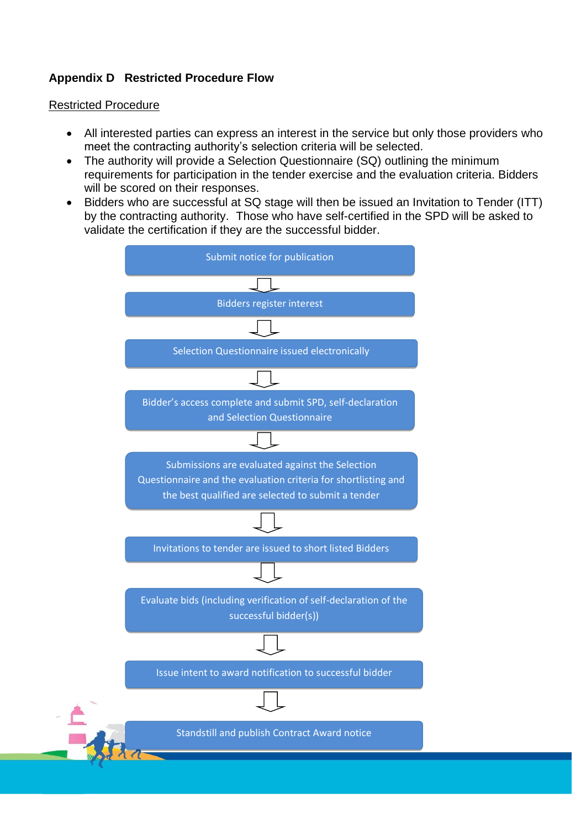## <span id="page-31-0"></span>**Appendix D Restricted Procedure Flow**

### Restricted Procedure

- All interested parties can express an interest in the service but only those providers who meet the contracting authority's selection criteria will be selected.
- The authority will provide a Selection Questionnaire (SQ) outlining the minimum requirements for participation in the tender exercise and the evaluation criteria. Bidders will be scored on their responses.
- Bidders who are successful at SQ stage will then be issued an Invitation to Tender (ITT) by the contracting authority. Those who have self-certified in the SPD will be asked to validate the certification if they are the successful bidder.

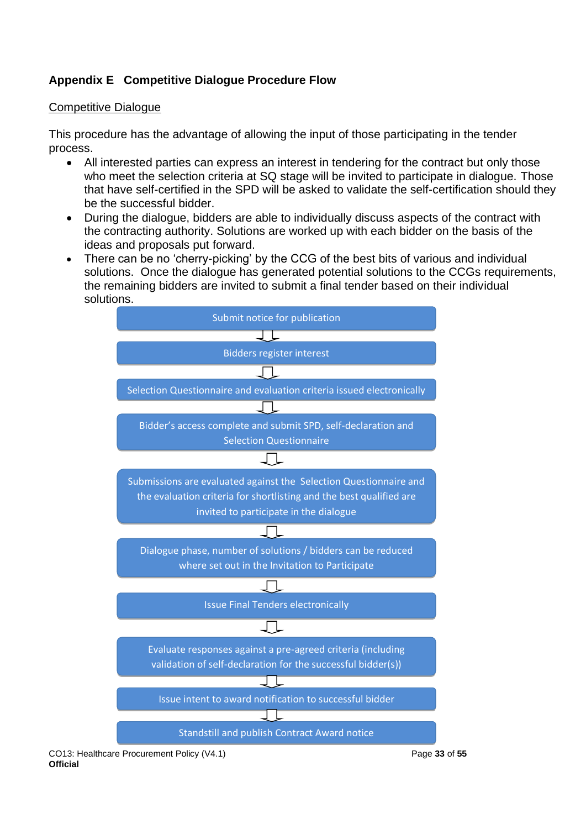# <span id="page-32-0"></span>**Appendix E Competitive Dialogue Procedure Flow**

## Competitive Dialogue

This procedure has the advantage of allowing the input of those participating in the tender process.

- All interested parties can express an interest in tendering for the contract but only those who meet the selection criteria at SQ stage will be invited to participate in dialogue. Those that have self-certified in the SPD will be asked to validate the self-certification should they be the successful bidder.
- During the dialogue, bidders are able to individually discuss aspects of the contract with the contracting authority. Solutions are worked up with each bidder on the basis of the ideas and proposals put forward.
- There can be no 'cherry-picking' by the CCG of the best bits of various and individual solutions. Once the dialogue has generated potential solutions to the CCGs requirements, the remaining bidders are invited to submit a final tender based on their individual solutions.



CO13: Healthcare Procurement Policy (V4.1) Page **33** of **55 Official**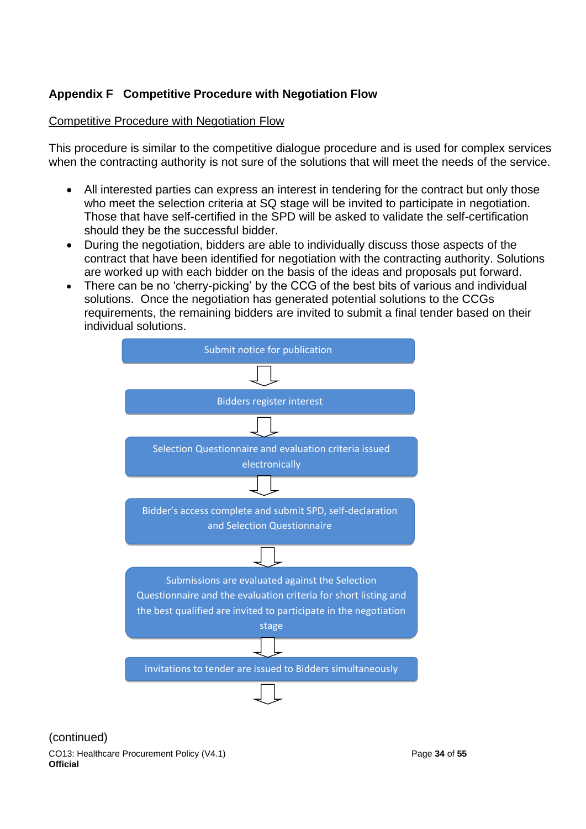# <span id="page-33-0"></span>**Appendix F Competitive Procedure with Negotiation Flow**

## Competitive Procedure with Negotiation Flow

This procedure is similar to the competitive dialogue procedure and is used for complex services when the contracting authority is not sure of the solutions that will meet the needs of the service.

- All interested parties can express an interest in tendering for the contract but only those who meet the selection criteria at SQ stage will be invited to participate in negotiation. Those that have self-certified in the SPD will be asked to validate the self-certification should they be the successful bidder.
- During the negotiation, bidders are able to individually discuss those aspects of the contract that have been identified for negotiation with the contracting authority. Solutions are worked up with each bidder on the basis of the ideas and proposals put forward.
- There can be no 'cherry-picking' by the CCG of the best bits of various and individual solutions. Once the negotiation has generated potential solutions to the CCGs requirements, the remaining bidders are invited to submit a final tender based on their individual solutions.



(continued)

CO13: Healthcare Procurement Policy (V4.1) Page **34** of **55 Official**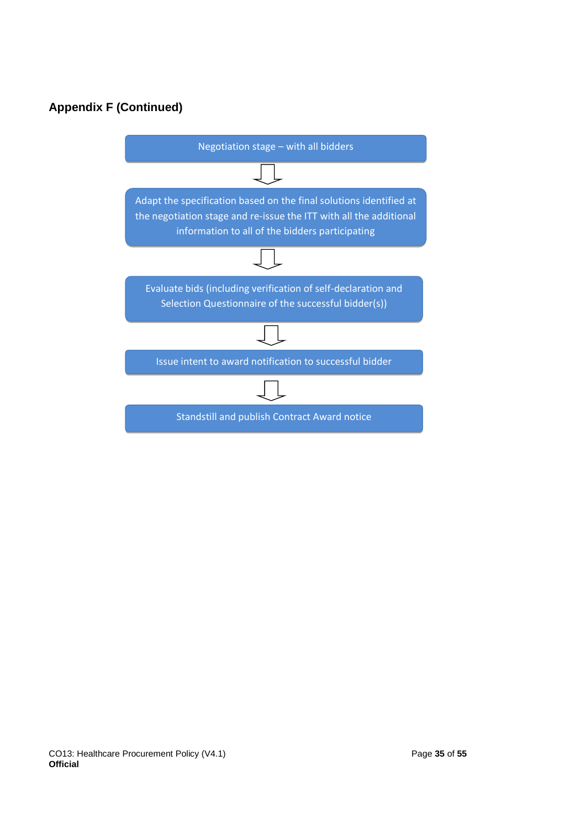# **Appendix F (Continued)**

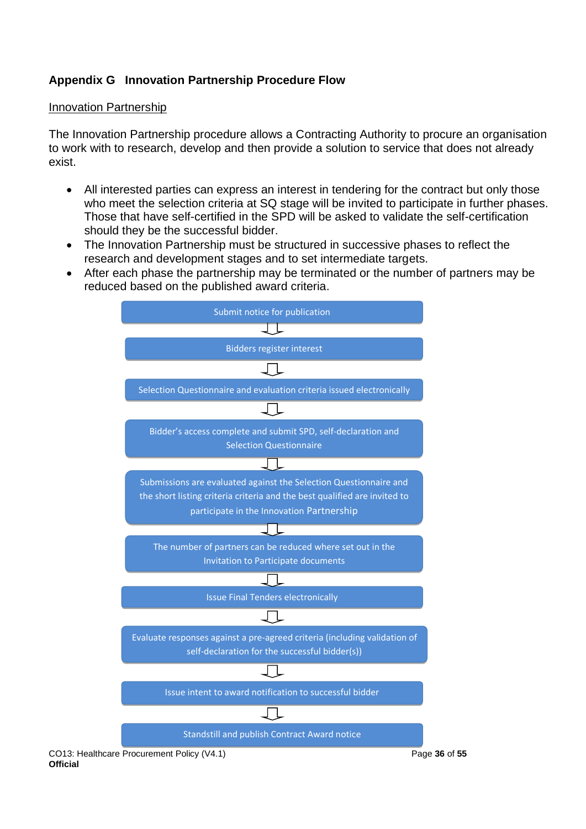## <span id="page-35-0"></span>**Appendix G Innovation Partnership Procedure Flow**

### Innovation Partnership

The Innovation Partnership procedure allows a Contracting Authority to procure an organisation to work with to research, develop and then provide a solution to service that does not already exist.

- All interested parties can express an interest in tendering for the contract but only those who meet the selection criteria at SQ stage will be invited to participate in further phases. Those that have self-certified in the SPD will be asked to validate the self-certification should they be the successful bidder.
- The Innovation Partnership must be structured in successive phases to reflect the research and development stages and to set intermediate targets.
- After each phase the partnership may be terminated or the number of partners may be reduced based on the published award criteria.

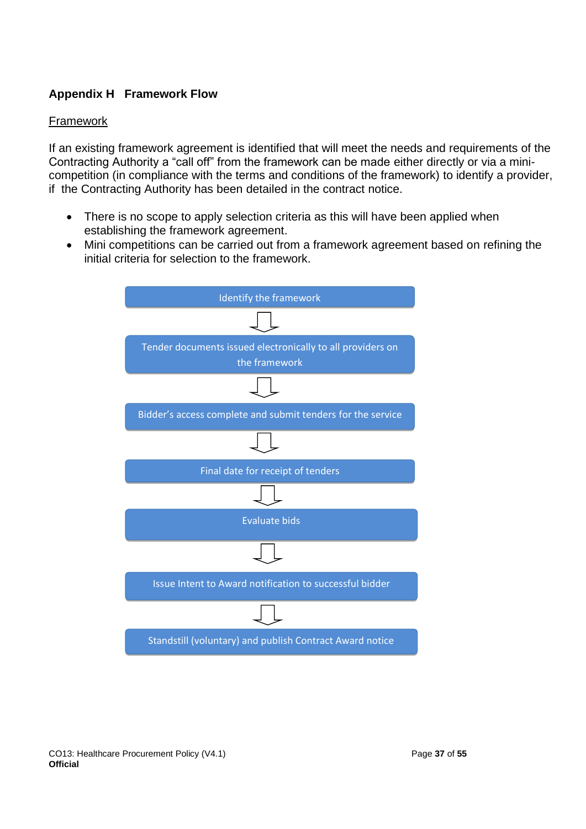## <span id="page-36-0"></span>**Appendix H Framework Flow**

## Framework

If an existing framework agreement is identified that will meet the needs and requirements of the Contracting Authority a "call off" from the framework can be made either directly or via a minicompetition (in compliance with the terms and conditions of the framework) to identify a provider, if the Contracting Authority has been detailed in the contract notice.

- There is no scope to apply selection criteria as this will have been applied when establishing the framework agreement.
- Mini competitions can be carried out from a framework agreement based on refining the initial criteria for selection to the framework.

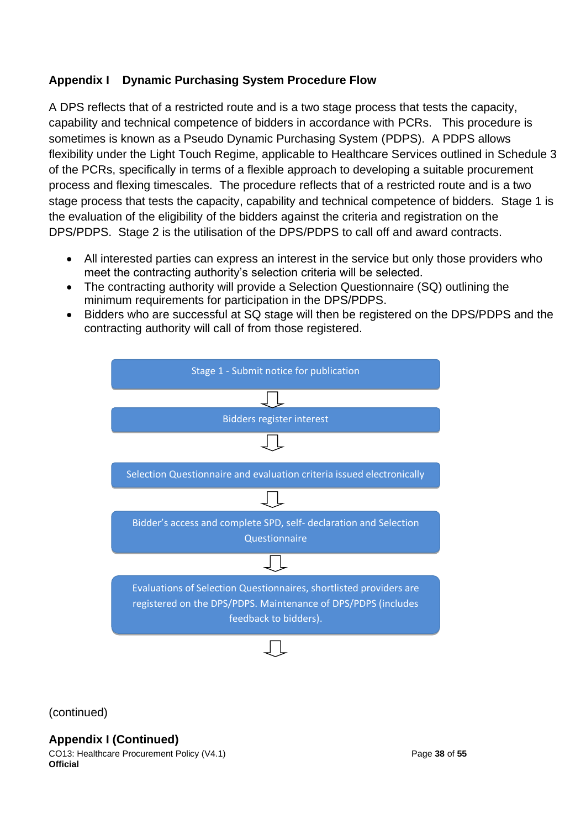## <span id="page-37-0"></span>**Appendix I Dynamic Purchasing System Procedure Flow**

A DPS reflects that of a restricted route and is a two stage process that tests the capacity, capability and technical competence of bidders in accordance with PCRs. This procedure is sometimes is known as a Pseudo Dynamic Purchasing System (PDPS). A PDPS allows flexibility under the Light Touch Regime, applicable to Healthcare Services outlined in Schedule 3 of the PCRs, specifically in terms of a flexible approach to developing a suitable procurement process and flexing timescales. The procedure reflects that of a restricted route and is a two stage process that tests the capacity, capability and technical competence of bidders. Stage 1 is the evaluation of the eligibility of the bidders against the criteria and registration on the DPS/PDPS. Stage 2 is the utilisation of the DPS/PDPS to call off and award contracts.

- All interested parties can express an interest in the service but only those providers who meet the contracting authority's selection criteria will be selected.
- The contracting authority will provide a Selection Questionnaire (SQ) outlining the minimum requirements for participation in the DPS/PDPS.
- Bidders who are successful at SQ stage will then be registered on the DPS/PDPS and the contracting authority will call of from those registered.



(continued)

**Appendix I (Continued)**

CO13: Healthcare Procurement Policy (V4.1) Page **38** of **55 Official**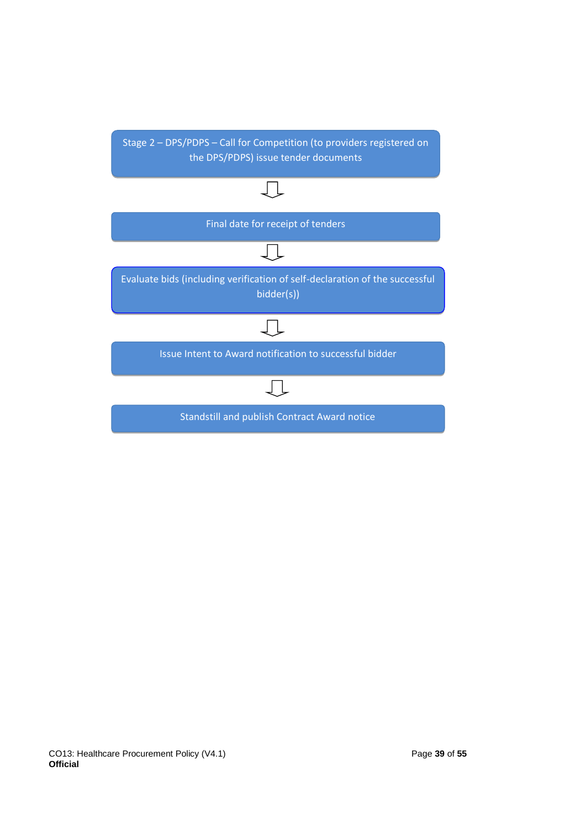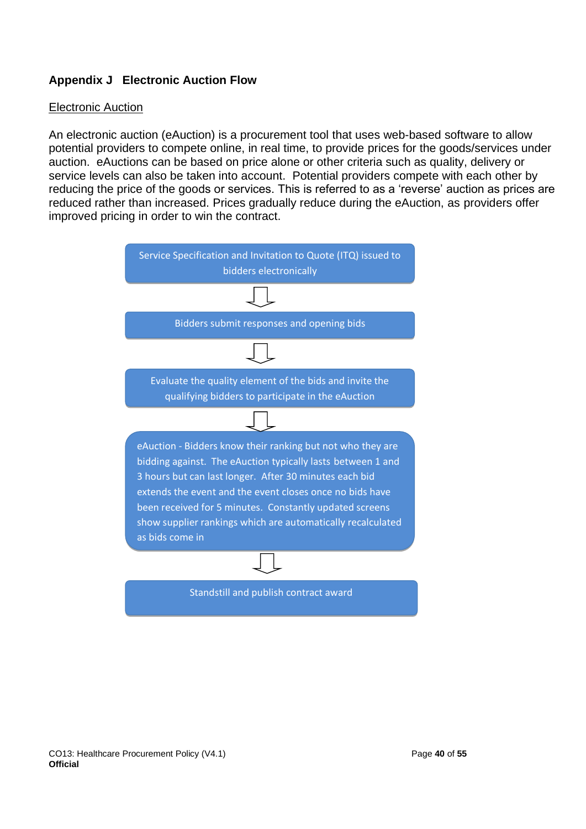## <span id="page-39-0"></span>**Appendix J Electronic Auction Flow**

### Electronic Auction

An electronic auction (eAuction) is a procurement tool that uses web-based software to allow potential providers to compete online, in real time, to provide prices for the goods/services under auction. eAuctions can be based on price alone or other criteria such as quality, delivery or service levels can also be taken into account. Potential providers compete with each other by reducing the price of the goods or services. This is referred to as a 'reverse' auction as prices are reduced rather than increased. Prices gradually reduce during the eAuction, as providers offer improved pricing in order to win the contract.

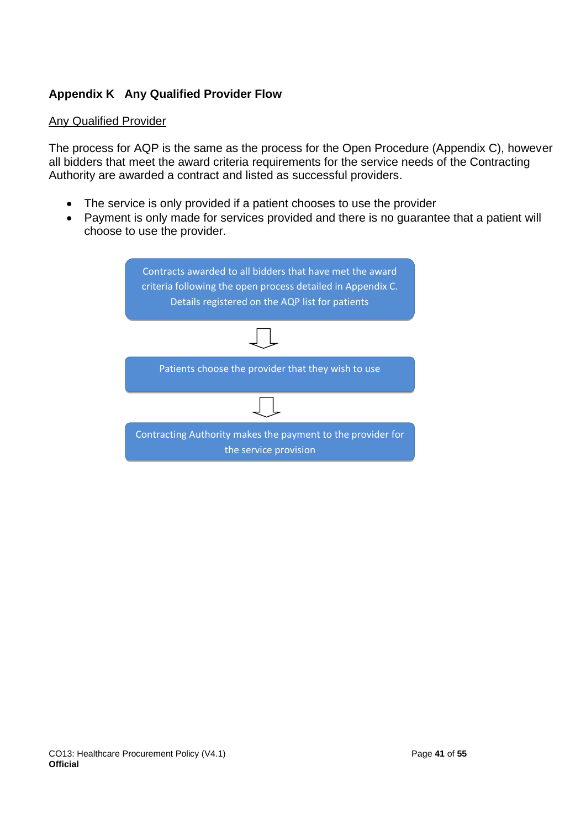## <span id="page-40-0"></span>**Appendix K Any Qualified Provider Flow**

### Any Qualified Provider

The process for AQP is the same as the process for the Open Procedure (Appendix C), however all bidders that meet the award criteria requirements for the service needs of the Contracting Authority are awarded a contract and listed as successful providers.

- The service is only provided if a patient chooses to use the provider
- Payment is only made for services provided and there is no guarantee that a patient will choose to use the provider.

| Contracts awarded to all bidders that have met the award<br>criteria following the open process detailed in Appendix C.<br>Details registered on the AQP list for patients |  |  |
|----------------------------------------------------------------------------------------------------------------------------------------------------------------------------|--|--|
|                                                                                                                                                                            |  |  |
| Patients choose the provider that they wish to use                                                                                                                         |  |  |
|                                                                                                                                                                            |  |  |
| Contracting Authority makes the payment to the provider for<br>the service provision                                                                                       |  |  |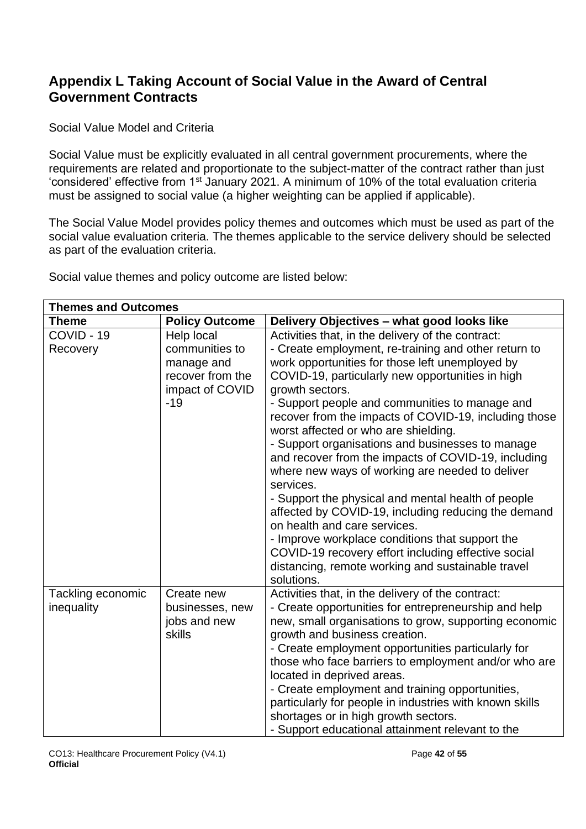# <span id="page-41-0"></span>**Appendix L Taking Account of Social Value in the Award of Central Government Contracts**

Social Value Model and Criteria

Social Value must be explicitly evaluated in all central government procurements, where the requirements are related and proportionate to the subject-matter of the contract rather than just 'considered' effective from 1st January 2021. A minimum of 10% of the total evaluation criteria must be assigned to social value (a higher weighting can be applied if applicable).

The Social Value Model provides policy themes and outcomes which must be used as part of the social value evaluation criteria. The themes applicable to the service delivery should be selected as part of the evaluation criteria.

Social value themes and policy outcome are listed below:

| <b>Themes and Outcomes</b>      |                                                                                            |                                                                                                                                                                                                                                                                                                                                                                                                                                                                                                                                                                                                                                                                                                                                                                                                                                                                                             |  |
|---------------------------------|--------------------------------------------------------------------------------------------|---------------------------------------------------------------------------------------------------------------------------------------------------------------------------------------------------------------------------------------------------------------------------------------------------------------------------------------------------------------------------------------------------------------------------------------------------------------------------------------------------------------------------------------------------------------------------------------------------------------------------------------------------------------------------------------------------------------------------------------------------------------------------------------------------------------------------------------------------------------------------------------------|--|
| <b>Theme</b>                    | <b>Policy Outcome</b>                                                                      | Delivery Objectives - what good looks like                                                                                                                                                                                                                                                                                                                                                                                                                                                                                                                                                                                                                                                                                                                                                                                                                                                  |  |
| COVID - 19<br>Recovery          | Help local<br>communities to<br>manage and<br>recover from the<br>impact of COVID<br>$-19$ | Activities that, in the delivery of the contract:<br>- Create employment, re-training and other return to<br>work opportunities for those left unemployed by<br>COVID-19, particularly new opportunities in high<br>growth sectors.<br>- Support people and communities to manage and<br>recover from the impacts of COVID-19, including those<br>worst affected or who are shielding.<br>- Support organisations and businesses to manage<br>and recover from the impacts of COVID-19, including<br>where new ways of working are needed to deliver<br>services.<br>- Support the physical and mental health of people<br>affected by COVID-19, including reducing the demand<br>on health and care services.<br>- Improve workplace conditions that support the<br>COVID-19 recovery effort including effective social<br>distancing, remote working and sustainable travel<br>solutions. |  |
| Tackling economic<br>inequality | Create new<br>businesses, new<br>jobs and new<br>skills                                    | Activities that, in the delivery of the contract:<br>- Create opportunities for entrepreneurship and help<br>new, small organisations to grow, supporting economic<br>growth and business creation.<br>- Create employment opportunities particularly for<br>those who face barriers to employment and/or who are<br>located in deprived areas.<br>- Create employment and training opportunities,<br>particularly for people in industries with known skills<br>shortages or in high growth sectors.<br>- Support educational attainment relevant to the                                                                                                                                                                                                                                                                                                                                   |  |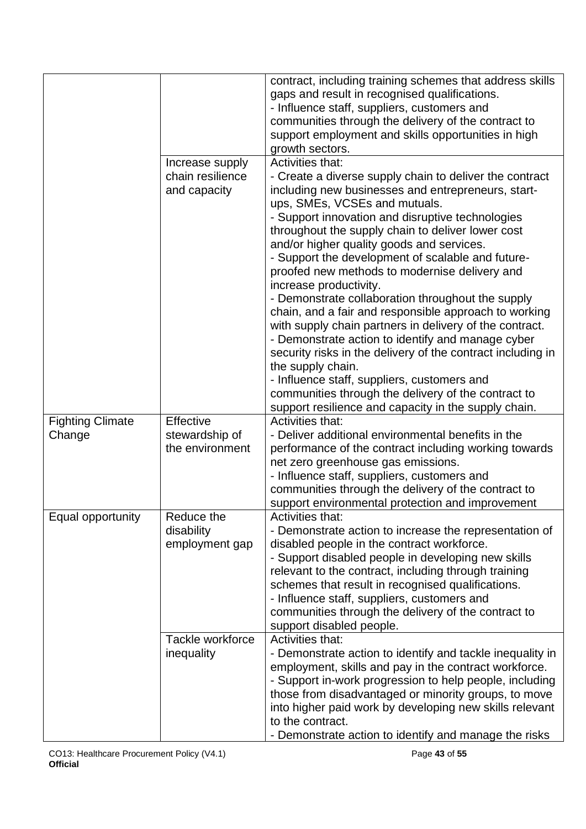|                         |                                     | contract, including training schemes that address skills                            |
|-------------------------|-------------------------------------|-------------------------------------------------------------------------------------|
|                         |                                     | gaps and result in recognised qualifications.                                       |
|                         |                                     | - Influence staff, suppliers, customers and                                         |
|                         |                                     | communities through the delivery of the contract to                                 |
|                         |                                     | support employment and skills opportunities in high                                 |
|                         |                                     | growth sectors.<br>Activities that:                                                 |
|                         | Increase supply<br>chain resilience |                                                                                     |
|                         |                                     | - Create a diverse supply chain to deliver the contract                             |
|                         | and capacity                        | including new businesses and entrepreneurs, start-<br>ups, SMEs, VCSEs and mutuals. |
|                         |                                     | - Support innovation and disruptive technologies                                    |
|                         |                                     | throughout the supply chain to deliver lower cost                                   |
|                         |                                     | and/or higher quality goods and services.                                           |
|                         |                                     | - Support the development of scalable and future-                                   |
|                         |                                     | proofed new methods to modernise delivery and                                       |
|                         |                                     | increase productivity.                                                              |
|                         |                                     | - Demonstrate collaboration throughout the supply                                   |
|                         |                                     | chain, and a fair and responsible approach to working                               |
|                         |                                     | with supply chain partners in delivery of the contract.                             |
|                         |                                     | - Demonstrate action to identify and manage cyber                                   |
|                         |                                     | security risks in the delivery of the contract including in                         |
|                         |                                     | the supply chain.                                                                   |
|                         |                                     | - Influence staff, suppliers, customers and                                         |
|                         |                                     | communities through the delivery of the contract to                                 |
|                         |                                     | support resilience and capacity in the supply chain.                                |
| <b>Fighting Climate</b> | Effective                           | <b>Activities that:</b><br>- Deliver additional environmental benefits in the       |
| Change                  | stewardship of<br>the environment   | performance of the contract including working towards                               |
|                         |                                     | net zero greenhouse gas emissions.                                                  |
|                         |                                     | - Influence staff, suppliers, customers and                                         |
|                         |                                     | communities through the delivery of the contract to                                 |
|                         |                                     | support environmental protection and improvement                                    |
| Equal opportunity       | Reduce the                          | <b>Activities that:</b>                                                             |
|                         | disability                          | - Demonstrate action to increase the representation of                              |
|                         | employment gap                      | disabled people in the contract workforce.                                          |
|                         |                                     | - Support disabled people in developing new skills                                  |
|                         |                                     | relevant to the contract, including through training                                |
|                         |                                     | schemes that result in recognised qualifications.                                   |
|                         |                                     | - Influence staff, suppliers, customers and                                         |
|                         |                                     | communities through the delivery of the contract to                                 |
|                         |                                     | support disabled people.                                                            |
|                         | Tackle workforce                    | Activities that:                                                                    |
|                         | inequality                          | - Demonstrate action to identify and tackle inequality in                           |
|                         |                                     | employment, skills and pay in the contract workforce.                               |
|                         |                                     | - Support in-work progression to help people, including                             |
|                         |                                     | those from disadvantaged or minority groups, to move                                |
|                         |                                     | into higher paid work by developing new skills relevant                             |
|                         |                                     | to the contract.                                                                    |
|                         |                                     | - Demonstrate action to identify and manage the risks                               |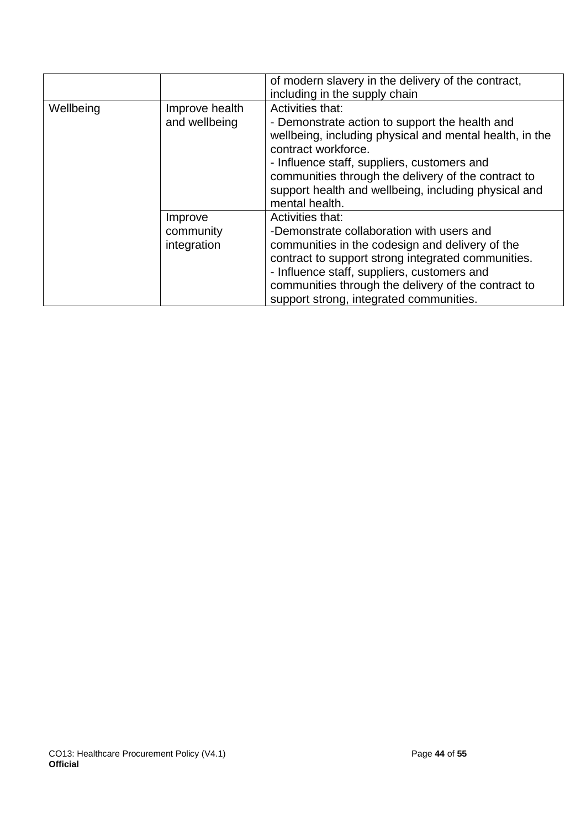|           |                                     | of modern slavery in the delivery of the contract,<br>including in the supply chain                                                                                                                                                                                                                                                  |
|-----------|-------------------------------------|--------------------------------------------------------------------------------------------------------------------------------------------------------------------------------------------------------------------------------------------------------------------------------------------------------------------------------------|
| Wellbeing | Improve health<br>and wellbeing     | Activities that:<br>- Demonstrate action to support the health and<br>wellbeing, including physical and mental health, in the<br>contract workforce.<br>- Influence staff, suppliers, customers and<br>communities through the delivery of the contract to<br>support health and wellbeing, including physical and<br>mental health. |
|           | Improve<br>community<br>integration | Activities that:<br>-Demonstrate collaboration with users and<br>communities in the codesign and delivery of the<br>contract to support strong integrated communities.<br>- Influence staff, suppliers, customers and<br>communities through the delivery of the contract to<br>support strong, integrated communities.              |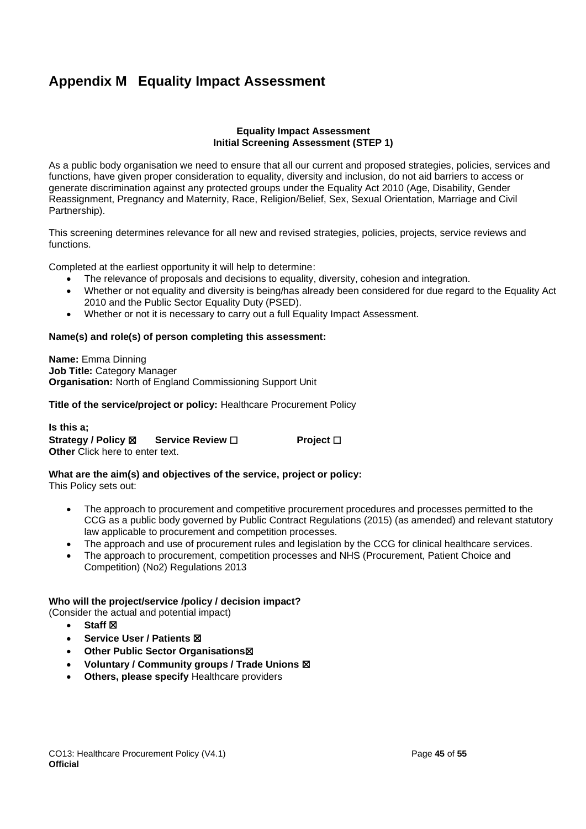# <span id="page-44-0"></span>**Appendix M Equality Impact Assessment**

#### **Equality Impact Assessment Initial Screening Assessment (STEP 1)**

As a public body organisation we need to ensure that all our current and proposed strategies, policies, services and functions, have given proper consideration to equality, diversity and inclusion, do not aid barriers to access or generate discrimination against any protected groups under the Equality Act 2010 (Age, Disability, Gender Reassignment, Pregnancy and Maternity, Race, Religion/Belief, Sex, Sexual Orientation, Marriage and Civil Partnership).

This screening determines relevance for all new and revised strategies, policies, projects, service reviews and functions.

Completed at the earliest opportunity it will help to determine:

- The relevance of proposals and decisions to equality, diversity, cohesion and integration.
- Whether or not equality and diversity is being/has already been considered for due regard to the Equality Act 2010 and the Public Sector Equality Duty (PSED).
- Whether or not it is necessary to carry out a full Equality Impact Assessment.

#### **Name(s) and role(s) of person completing this assessment:**

**Name:** Emma Dinning **Job Title:** Category Manager **Organisation:** North of England Commissioning Support Unit

**Title of the service/project or policy:** Healthcare Procurement Policy

**Is this a; Strategy / Policy** ☒ **Service Review** ☐ **Project** ☐ **Other** Click here to enter text.

**What are the aim(s) and objectives of the service, project or policy:** 

This Policy sets out:

- The approach to procurement and competitive procurement procedures and processes permitted to the CCG as a public body governed by Public Contract Regulations (2015) (as amended) and relevant statutory law applicable to procurement and competition processes.
- The approach and use of procurement rules and legislation by the CCG for clinical healthcare services.
- The approach to procurement, competition processes and NHS (Procurement, Patient Choice and Competition) (No2) Regulations 2013

#### **Who will the project/service /policy / decision impact?**

(Consider the actual and potential impact)

- **Staff ⊠**
- **Service User / Patients** ☒
- **Other Public Sector Organisations**☒
- **Voluntary / Community groups / Trade Unions** ☒
- **Others, please specify** Healthcare providers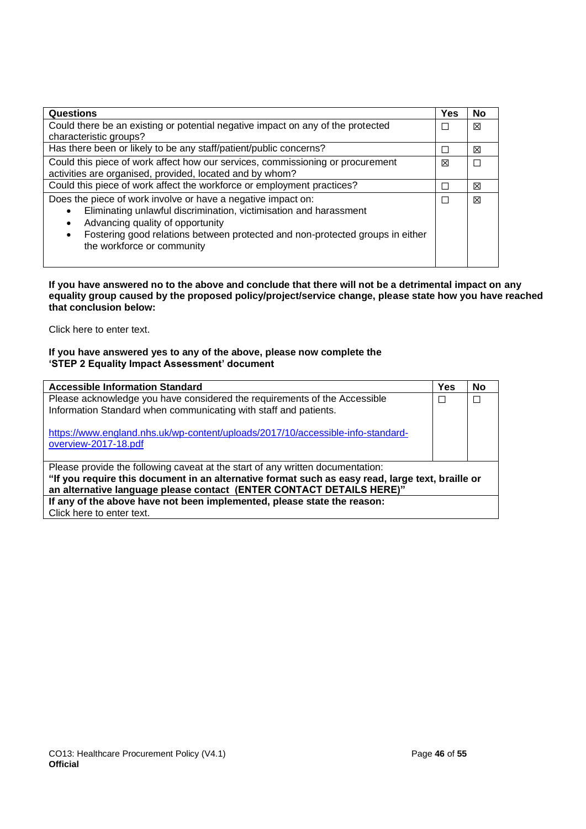| <b>Questions</b>                                                                                                                                                                                                                                                                     | Yes | No |  |
|--------------------------------------------------------------------------------------------------------------------------------------------------------------------------------------------------------------------------------------------------------------------------------------|-----|----|--|
| Could there be an existing or potential negative impact on any of the protected<br>characteristic groups?                                                                                                                                                                            |     |    |  |
| Has there been or likely to be any staff/patient/public concerns?                                                                                                                                                                                                                    |     |    |  |
| Could this piece of work affect how our services, commissioning or procurement<br>activities are organised, provided, located and by whom?                                                                                                                                           |     |    |  |
| Could this piece of work affect the workforce or employment practices?                                                                                                                                                                                                               |     |    |  |
| Does the piece of work involve or have a negative impact on:<br>Eliminating unlawful discrimination, victimisation and harassment<br>Advancing quality of opportunity<br>Fostering good relations between protected and non-protected groups in either<br>the workforce or community | П   | ⊠  |  |

#### **If you have answered no to the above and conclude that there will not be a detrimental impact on any equality group caused by the proposed policy/project/service change, please state how you have reached that conclusion below:**

Click here to enter text.

#### **If you have answered yes to any of the above, please now complete the 'STEP 2 Equality Impact Assessment' document**

| <b>Accessible Information Standard</b>                                                                                                                                   | Yes | No |
|--------------------------------------------------------------------------------------------------------------------------------------------------------------------------|-----|----|
| Please acknowledge you have considered the requirements of the Accessible<br>Information Standard when communicating with staff and patients.                            | П   | П  |
| https://www.england.nhs.uk/wp-content/uploads/2017/10/accessible-info-standard-<br>overview-2017-18.pdf                                                                  |     |    |
| Please provide the following caveat at the start of any written documentation:                                                                                           |     |    |
| "If you require this document in an alternative format such as easy read, large text, braille or<br>an alternative language please contact (ENTER CONTACT DETAILS HERE)" |     |    |
| If any of the above have not been implemented, please state the reason:                                                                                                  |     |    |
| Click here to enter text.                                                                                                                                                |     |    |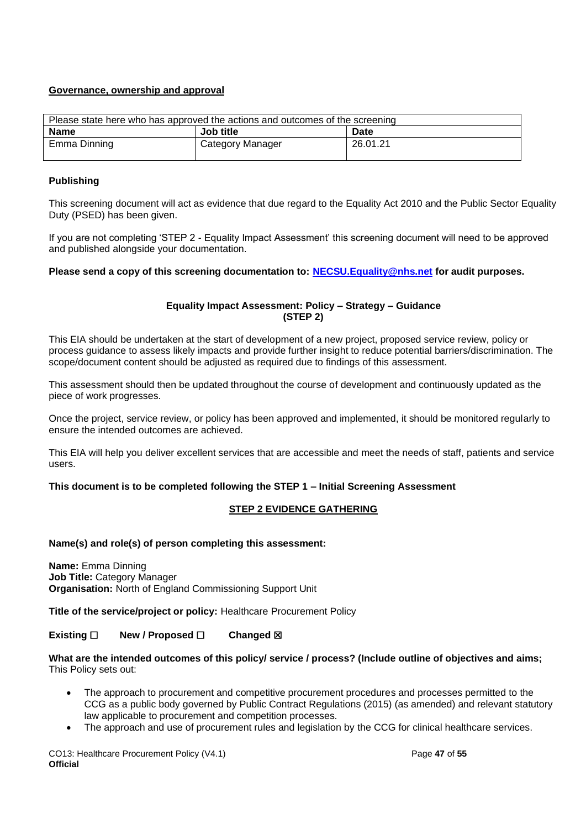### **Governance, ownership and approval**

| Please state here who has approved the actions and outcomes of the screening |                  |          |  |
|------------------------------------------------------------------------------|------------------|----------|--|
| <b>Name</b>                                                                  | Job title        | Date     |  |
| Emma Dinning                                                                 | Category Manager | 26.01.21 |  |

#### **Publishing**

This screening document will act as evidence that due regard to the Equality Act 2010 and the Public Sector Equality Duty (PSED) has been given.

If you are not completing 'STEP 2 - Equality Impact Assessment' this screening document will need to be approved and published alongside your documentation.

**Please send a copy of this screening documentation to: [NECSU.Equality@nhs.net](mailto:NECSU.Equality@nhs.net) for audit purposes.**

### **Equality Impact Assessment: Policy – Strategy – Guidance (STEP 2)**

This EIA should be undertaken at the start of development of a new project, proposed service review, policy or process guidance to assess likely impacts and provide further insight to reduce potential barriers/discrimination. The scope/document content should be adjusted as required due to findings of this assessment.

This assessment should then be updated throughout the course of development and continuously updated as the piece of work progresses.

Once the project, service review, or policy has been approved and implemented, it should be monitored regularly to ensure the intended outcomes are achieved.

This EIA will help you deliver excellent services that are accessible and meet the needs of staff, patients and service users.

### **This document is to be completed following the STEP 1 – Initial Screening Assessment**

### **STEP 2 EVIDENCE GATHERING**

#### **Name(s) and role(s) of person completing this assessment:**

**Name:** Emma Dinning **Job Title:** Category Manager **Organisation:** North of England Commissioning Support Unit

**Title of the service/project or policy:** Healthcare Procurement Policy

### **Existing** ☐ **New / Proposed** ☐ **Changed** ☒

#### **What are the intended outcomes of this policy/ service / process? (Include outline of objectives and aims;**  This Policy sets out:

- The approach to procurement and competitive procurement procedures and processes permitted to the CCG as a public body governed by Public Contract Regulations (2015) (as amended) and relevant statutory law applicable to procurement and competition processes.
- The approach and use of procurement rules and legislation by the CCG for clinical healthcare services.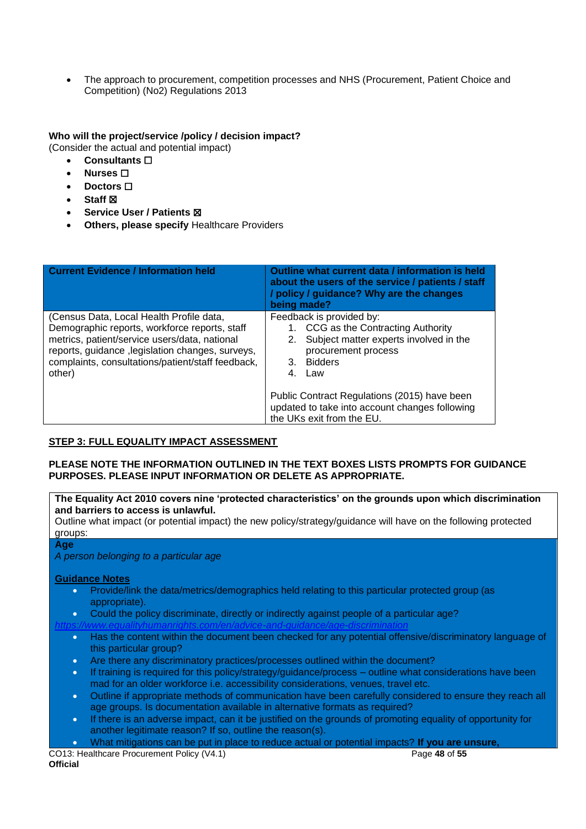• The approach to procurement, competition processes and NHS (Procurement, Patient Choice and Competition) (No2) Regulations 2013

### **Who will the project/service /policy / decision impact?**

(Consider the actual and potential impact)

- **Consultants** ☐
- **Nurses** ☐
- **Doctors** □
- **Staff** ☒
- **Service User / Patients** ☒
- **Others, please specify** Healthcare Providers

| <b>Current Evidence / Information held</b>                                                                                                                                                                                                                     | Outline what current data / information is held<br>about the users of the service / patients / staff<br>/ policy / guidance? Why are the changes<br>being made?                                                                                                                         |
|----------------------------------------------------------------------------------------------------------------------------------------------------------------------------------------------------------------------------------------------------------------|-----------------------------------------------------------------------------------------------------------------------------------------------------------------------------------------------------------------------------------------------------------------------------------------|
| (Census Data, Local Health Profile data,<br>Demographic reports, workforce reports, staff<br>metrics, patient/service users/data, national<br>reports, guidance , legislation changes, surveys,<br>complaints, consultations/patient/staff feedback,<br>other) | Feedback is provided by:<br>CCG as the Contracting Authority<br>Subject matter experts involved in the<br>procurement process<br>3. Bidders<br>4.<br>Law<br>Public Contract Regulations (2015) have been<br>updated to take into account changes following<br>the UKs exit from the EU. |

### **STEP 3: FULL EQUALITY IMPACT ASSESSMENT**

### **PLEASE NOTE THE INFORMATION OUTLINED IN THE TEXT BOXES LISTS PROMPTS FOR GUIDANCE PURPOSES. PLEASE INPUT INFORMATION OR DELETE AS APPROPRIATE.**

#### **The Equality Act 2010 covers nine 'protected characteristics' on the grounds upon which discrimination and barriers to access is unlawful.**

Outline what impact (or potential impact) the new policy/strategy/guidance will have on the following protected groups:

#### **Age**

*A person belonging to a particular age*

### **Guidance Notes**

- Provide/link the data/metrics/demographics held relating to this particular protected group (as appropriate).
- Could the policy discriminate, directly or indirectly against people of a particular age?

*<https://www.equalityhumanrights.com/en/advice-and-guidance/age-discrimination>*

- Has the content within the document been checked for any potential offensive/discriminatory language of this particular group?
- Are there any discriminatory practices/processes outlined within the document?
- If training is required for this policy/strategy/guidance/process outline what considerations have been mad for an older workforce i.e. accessibility considerations, venues, travel etc.
- Outline if appropriate methods of communication have been carefully considered to ensure they reach all age groups. Is documentation available in alternative formats as required?
- If there is an adverse impact, can it be justified on the grounds of promoting equality of opportunity for another legitimate reason? If so, outline the reason(s).
- What mitigations can be put in place to reduce actual or potential impacts? **If you are unsure,**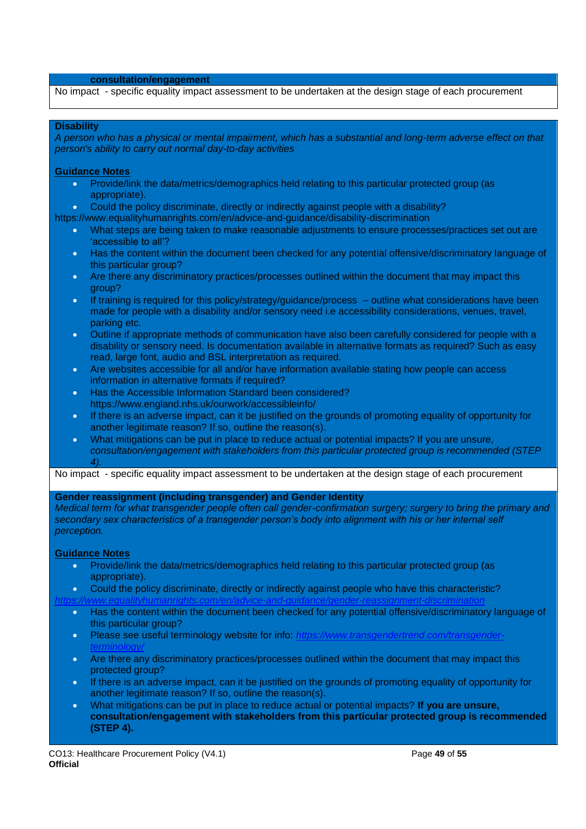#### **consultation/engagement**

No impact - specific equality impact assessment to be undertaken at the design stage of each procurement

#### **Disability**

*A person who has a physical or mental impairment, which has a substantial and long-term adverse effect on that person's ability to carry out normal day-to-day activities*

#### **Guidance Notes**

- Provide/link the data/metrics/demographics held relating to this particular protected group (as appropriate).
- Could the policy discriminate, directly or indirectly against people with a disability?
- https://www.equalityhumanrights.com/en/advice-and-guidance/disability-discrimination
	- What steps are being taken to make reasonable adjustments to ensure processes/practices set out are 'accessible to all'?
	- Has the content within the document been checked for any potential offensive/discriminatory language of this particular group?
	- Are there any discriminatory practices/processes outlined within the document that may impact this group?
	- If training is required for this policy/strategy/guidance/process outline what considerations have been made for people with a disability and/or sensory need i.e accessibility considerations, venues, travel, parking etc.
	- Outline if appropriate methods of communication have also been carefully considered for people with a disability or sensory need. Is documentation available in alternative formats as required? Such as easy read, large font, audio and BSL interpretation as required.
	- Are websites accessible for all and/or have information available stating how people can access information in alternative formats if required?
	- Has the Accessible Information Standard been considered? https://www.england.nhs.uk/ourwork/accessibleinfo/
	- If there is an adverse impact, can it be justified on the grounds of promoting equality of opportunity for another legitimate reason? If so, outline the reason(s).
	- What mitigations can be put in place to reduce actual or potential impacts? If you are unsure, *consultation/engagement with stakeholders from this particular protected group is recommended (STEP 4).*

No impact - specific equality impact assessment to be undertaken at the design stage of each procurement

#### **Gender reassignment (including transgender) and Gender Identity**

*Medical term for what transgender people often call gender-confirmation surgery; surgery to bring the primary and secondary sex characteristics of a transgender person's body into alignment with his or her internal self perception.*

#### **Guidance Notes**

- Provide/link the data/metrics/demographics held relating to this particular protected group (as appropriate).
- Could the policy discriminate, directly or indirectly against people who have this characteristic?
- *<https://www.equalityhumanrights.com/en/advice-and-guidance/gender-reassignment-discrimination>*
	- Has the content within the document been checked for any potential offensive/discriminatory language of this particular group?
	- Please see useful terminology website for info: [https://www.transgendertrend.com/transgender](https://www.transgendertrend.com/transgender-terminology/)*[terminology/](https://www.transgendertrend.com/transgender-terminology/)*
	- Are there any discriminatory practices/processes outlined within the document that may impact this protected group?
	- If there is an adverse impact, can it be justified on the grounds of promoting equality of opportunity for another legitimate reason? If so, outline the reason(s).
	- What mitigations can be put in place to reduce actual or potential impacts? **If you are unsure, consultation/engagement with stakeholders from this particular protected group is recommended (STEP 4).**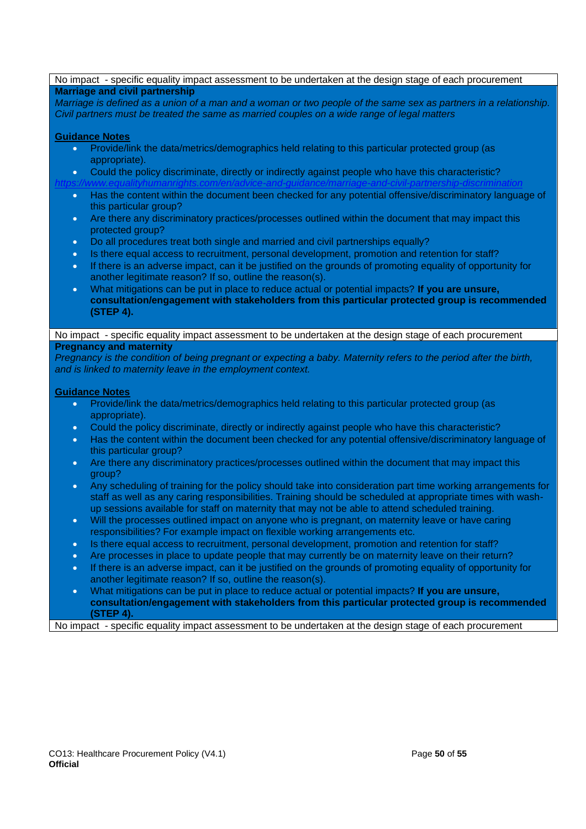| No impact - specific equality impact assessment to be undertaken at the design stage of each procurement                                                                                                                     |
|------------------------------------------------------------------------------------------------------------------------------------------------------------------------------------------------------------------------------|
| <b>Marriage and civil partnership</b>                                                                                                                                                                                        |
| Marriage is defined as a union of a man and a woman or two people of the same sex as partners in a relationship.                                                                                                             |
| Civil partners must be treated the same as married couples on a wide range of legal matters                                                                                                                                  |
| <b>Guidance Notes</b>                                                                                                                                                                                                        |
| Provide/link the data/metrics/demographics held relating to this particular protected group (as<br>$\bullet$                                                                                                                 |
| appropriate).                                                                                                                                                                                                                |
| Could the policy discriminate, directly or indirectly against people who have this characteristic?<br>$\bullet$                                                                                                              |
| marriage-and-ci                                                                                                                                                                                                              |
| Has the content within the document been checked for any potential offensive/discriminatory language of<br>$\bullet$<br>this particular group?                                                                               |
| Are there any discriminatory practices/processes outlined within the document that may impact this<br>$\bullet$<br>protected group?                                                                                          |
| Do all procedures treat both single and married and civil partnerships equally?<br>$\bullet$                                                                                                                                 |
| Is there equal access to recruitment, personal development, promotion and retention for staff?<br>$\bullet$                                                                                                                  |
| If there is an adverse impact, can it be justified on the grounds of promoting equality of opportunity for<br>$\bullet$                                                                                                      |
| another legitimate reason? If so, outline the reason(s).                                                                                                                                                                     |
| What mitigations can be put in place to reduce actual or potential impacts? If you are unsure,<br>$\bullet$                                                                                                                  |
| consultation/engagement with stakeholders from this particular protected group is recommended                                                                                                                                |
| (STEP 4).                                                                                                                                                                                                                    |
| No impact - specific equality impact assessment to be undertaken at the design stage of each procurement                                                                                                                     |
| <b>Pregnancy and maternity</b>                                                                                                                                                                                               |
| Pregnancy is the condition of being pregnant or expecting a baby. Maternity refers to the period after the birth,                                                                                                            |
| and is linked to maternity leave in the employment context.                                                                                                                                                                  |
|                                                                                                                                                                                                                              |
| <b>Guidance Notes</b>                                                                                                                                                                                                        |
| Provide/link the data/metrics/demographics held relating to this particular protected group (as<br>$\bullet$<br>appropriate).                                                                                                |
| Could the policy discriminate, directly or indirectly against people who have this characteristic?<br>$\bullet$                                                                                                              |
| Has the content within the document been checked for any potential offensive/discriminatory language of<br>$\bullet$<br>this particular group?                                                                               |
| Are there any discriminatory practices/processes outlined within the document that may impact this<br>$\bullet$<br>group?                                                                                                    |
| Any scheduling of training for the policy should take into consideration part time working arrangements for<br>$\bullet$                                                                                                     |
| staff as well as any caring responsibilities. Training should be scheduled at appropriate times with wash-                                                                                                                   |
| up sessions available for staff on maternity that may not be able to attend scheduled training.                                                                                                                              |
| Will the processes outlined impact on anyone who is pregnant, on maternity leave or have caring<br>$\bullet$                                                                                                                 |
| responsibilities? For example impact on flexible working arrangements etc.                                                                                                                                                   |
| Is there equal access to recruitment, personal development, promotion and retention for staff?<br>$\bullet$                                                                                                                  |
| Are processes in place to update people that may currently be on maternity leave on their return?<br>$\bullet$<br>If there is an adverse impact, can it be justified on the grounds of promoting equality of opportunity for |
| $\bullet$<br>another legitimate reason? If so, outline the reason(s).                                                                                                                                                        |
| What mitigations can be put in place to reduce actual or potential impacts? If you are unsure,<br>$\bullet$                                                                                                                  |
| consultation/engagement with stakeholders from this particular protected group is recommended                                                                                                                                |
| (STEP 4).                                                                                                                                                                                                                    |
| No impact - specific equality impact assessment to be undertaken at the design stage of each procurement                                                                                                                     |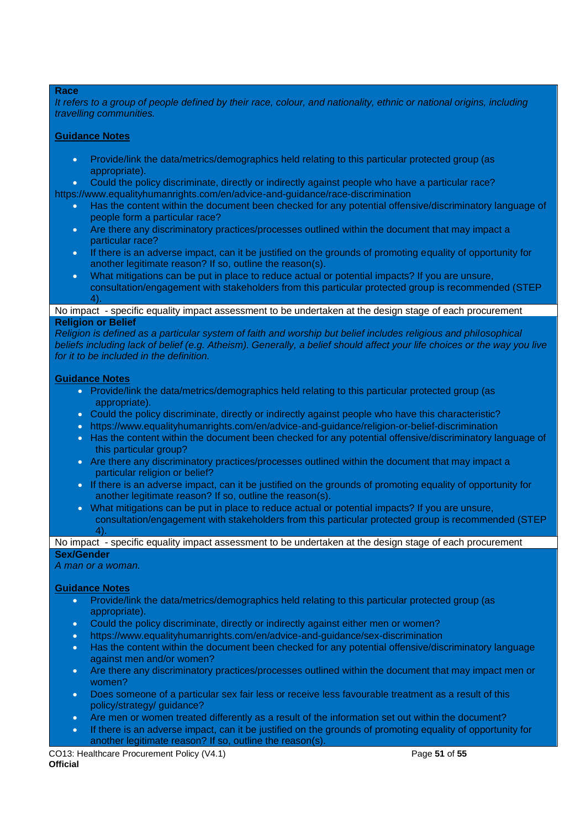#### **Race**

*It refers to a group of people defined by their race, colour, and nationality, ethnic or national origins, including travelling communities.*

#### **Guidance Notes**

- Provide/link the data/metrics/demographics held relating to this particular protected group (as appropriate).
- Could the policy discriminate, directly or indirectly against people who have a particular race?
- https://www.equalityhumanrights.com/en/advice-and-guidance/race-discrimination
	- Has the content within the document been checked for any potential offensive/discriminatory language of people form a particular race?
	- Are there any discriminatory practices/processes outlined within the document that may impact a particular race?
	- If there is an adverse impact, can it be justified on the grounds of promoting equality of opportunity for another legitimate reason? If so, outline the reason(s).
	- What mitigations can be put in place to reduce actual or potential impacts? If you are unsure, consultation/engagement with stakeholders from this particular protected group is recommended (STEP  $\Delta$

#### No impact - specific equality impact assessment to be undertaken at the design stage of each procurement **Religion or Belief**

*Religion is defined as a particular system of faith and worship but belief includes religious and philosophical beliefs including lack of belief (e.g. Atheism). Generally, a belief should affect your life choices or the way you live for it to be included in the definition.*

#### **Guidance Notes**

- Provide/link the data/metrics/demographics held relating to this particular protected group (as appropriate).
- Could the policy discriminate, directly or indirectly against people who have this characteristic?
- https://www.equalityhumanrights.com/en/advice-and-guidance/religion-or-belief-discrimination
- Has the content within the document been checked for any potential offensive/discriminatory language of this particular group?
- Are there any discriminatory practices/processes outlined within the document that may impact a particular religion or belief?
- If there is an adverse impact, can it be justified on the grounds of promoting equality of opportunity for another legitimate reason? If so, outline the reason(s).
- What mitigations can be put in place to reduce actual or potential impacts? If you are unsure, consultation/engagement with stakeholders from this particular protected group is recommended (STEP  $\vert$

### No impact - specific equality impact assessment to be undertaken at the design stage of each procurement **Sex/Gender**

*A man or a woman.*

### **Guidance Notes**

- Provide/link the data/metrics/demographics held relating to this particular protected group (as appropriate).
- Could the policy discriminate, directly or indirectly against either men or women?
- https://www.equalityhumanrights.com/en/advice-and-guidance/sex-discrimination
- Has the content within the document been checked for any potential offensive/discriminatory language against men and/or women?
- Are there any discriminatory practices/processes outlined within the document that may impact men or women?
- Does someone of a particular sex fair less or receive less favourable treatment as a result of this policy/strategy/ guidance?
- Are men or women treated differently as a result of the information set out within the document?
- If there is an adverse impact, can it be justified on the grounds of promoting equality of opportunity for another legitimate reason? If so, outline the reason(s).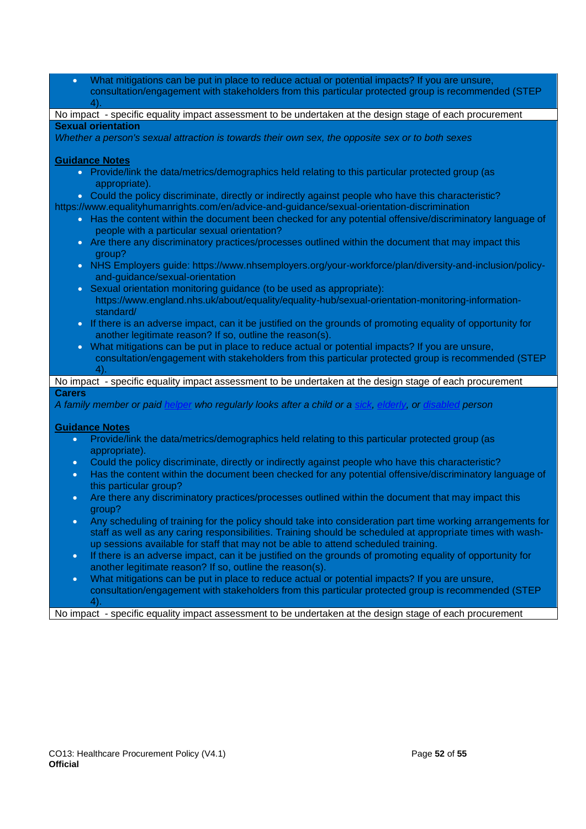| What mitigations can be put in place to reduce actual or potential impacts? If you are unsure,<br>$\bullet$                                                                         |
|-------------------------------------------------------------------------------------------------------------------------------------------------------------------------------------|
| consultation/engagement with stakeholders from this particular protected group is recommended (STEP<br>4).                                                                          |
| No impact - specific equality impact assessment to be undertaken at the design stage of each procurement                                                                            |
| <b>Sexual orientation</b>                                                                                                                                                           |
|                                                                                                                                                                                     |
| Whether a person's sexual attraction is towards their own sex, the opposite sex or to both sexes                                                                                    |
|                                                                                                                                                                                     |
| <b>Guidance Notes</b>                                                                                                                                                               |
| • Provide/link the data/metrics/demographics held relating to this particular protected group (as<br>appropriate).                                                                  |
| • Could the policy discriminate, directly or indirectly against people who have this characteristic?                                                                                |
| https://www.equalityhumanrights.com/en/advice-and-guidance/sexual-orientation-discrimination                                                                                        |
| . Has the content within the document been checked for any potential offensive/discriminatory language of                                                                           |
| people with a particular sexual orientation?                                                                                                                                        |
| • Are there any discriminatory practices/processes outlined within the document that may impact this<br>group?                                                                      |
| . NHS Employers guide: https://www.nhsemployers.org/your-workforce/plan/diversity-and-inclusion/policy-<br>and-guidance/sexual-orientation                                          |
| Sexual orientation monitoring guidance (to be used as appropriate):                                                                                                                 |
| $\bullet$                                                                                                                                                                           |
| https://www.england.nhs.uk/about/equality/equality-hub/sexual-orientation-monitoring-information-<br>standard/                                                                      |
| • If there is an adverse impact, can it be justified on the grounds of promoting equality of opportunity for                                                                        |
| another legitimate reason? If so, outline the reason(s).                                                                                                                            |
| . What mitigations can be put in place to reduce actual or potential impacts? If you are unsure,                                                                                    |
|                                                                                                                                                                                     |
| consultation/engagement with stakeholders from this particular protected group is recommended (STEP                                                                                 |
|                                                                                                                                                                                     |
|                                                                                                                                                                                     |
| No impact - specific equality impact assessment to be undertaken at the design stage of each procurement                                                                            |
| <b>Carers</b>                                                                                                                                                                       |
|                                                                                                                                                                                     |
| A family member or paid helper who regularly looks after a child or a sick, elderly, or disabled person                                                                             |
|                                                                                                                                                                                     |
| <b>Guidance Notes</b>                                                                                                                                                               |
| Provide/link the data/metrics/demographics held relating to this particular protected group (as<br>$\bullet$                                                                        |
| appropriate).                                                                                                                                                                       |
| Could the policy discriminate, directly or indirectly against people who have this characteristic?<br>$\bullet$                                                                     |
| Has the content within the document been checked for any potential offensive/discriminatory language of<br>$\bullet$<br>this particular group?                                      |
| $\bullet$                                                                                                                                                                           |
| Are there any discriminatory practices/processes outlined within the document that may impact this<br>group?                                                                        |
| Any scheduling of training for the policy should take into consideration part time working arrangements for<br>$\bullet$                                                            |
| staff as well as any caring responsibilities. Training should be scheduled at appropriate times with wash-                                                                          |
| up sessions available for staff that may not be able to attend scheduled training.                                                                                                  |
| If there is an adverse impact, can it be justified on the grounds of promoting equality of opportunity for<br>$\bullet$<br>another legitimate reason? If so, outline the reason(s). |
| What mitigations can be put in place to reduce actual or potential impacts? If you are unsure,<br>$\bullet$                                                                         |
| consultation/engagement with stakeholders from this particular protected group is recommended (STEP                                                                                 |

No impact - specific equality impact assessment to be undertaken at the design stage of each procurement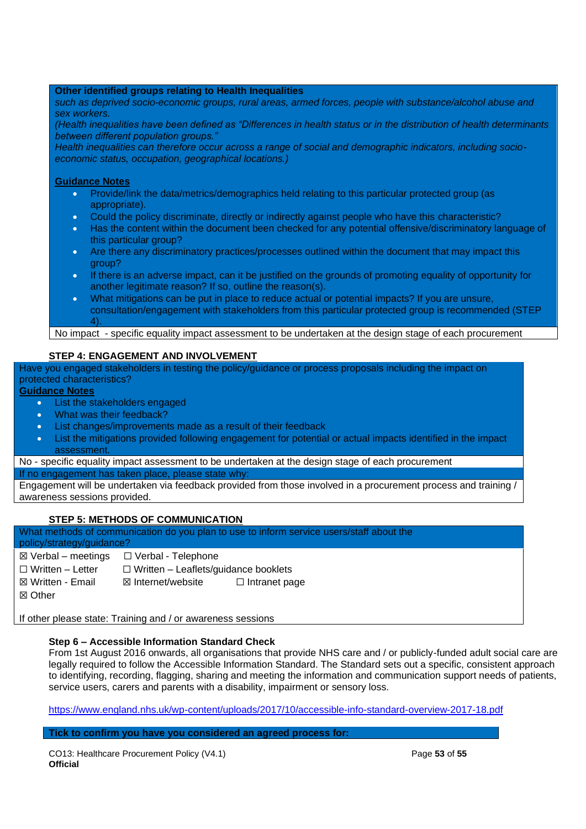### **Other identified groups relating to Health Inequalities**

*such as deprived socio-economic groups, rural areas, armed forces, people with substance/alcohol abuse and sex workers.*

*(Health inequalities have been defined as "Differences in health status or in the distribution of health determinants between different population groups."*

*Health inequalities can therefore occur across a range of social and demographic indicators, including socioeconomic status, occupation, geographical locations.)*

#### **Guidance Notes**

- Provide/link the data/metrics/demographics held relating to this particular protected group (as appropriate).
- Could the policy discriminate, directly or indirectly against people who have this characteristic?
- Has the content within the document been checked for any potential offensive/discriminatory language of this particular group?
- Are there any discriminatory practices/processes outlined within the document that may impact this group?
- If there is an adverse impact, can it be justified on the grounds of promoting equality of opportunity for another legitimate reason? If so, outline the reason(s).
- What mitigations can be put in place to reduce actual or potential impacts? If you are unsure, consultation/engagement with stakeholders from this particular protected group is recommended (STEP  $\Delta$

No impact - specific equality impact assessment to be undertaken at the design stage of each procurement

### **STEP 4: ENGAGEMENT AND INVOLVEMENT**

Have you engaged stakeholders in testing the policy/guidance or process proposals including the impact on protected characteristics?

### **Guidance Notes**

- List the stakeholders engaged
- What was their feedback?
- List changes/improvements made as a result of their feedback
- List the mitigations provided following engagement for potential or actual impacts identified in the impact assessment.

No - specific equality impact assessment to be undertaken at the design stage of each procurement

If no engagement has taken place, please state why

Engagement will be undertaken via feedback provided from those involved in a procurement process and training / awareness sessions provided.

### **STEP 5: METHODS OF COMMUNICATION**

What methods of communication do you plan to use to inform service users/staff about the policy/strategy/guidance?

- $\boxtimes$  Verbal meetings  $\Box$  Verbal Telephone
- 

☐ Written – Letter ☐ Written – Leaflets/guidance booklets

☒ Written - Email ☒ Internet/website ☐ Intranet page

☒ Other

If other please state: Training and / or awareness sessions

### **Step 6 – Accessible Information Standard Check**

From 1st August 2016 onwards, all organisations that provide NHS care and / or publicly-funded adult social care are legally required to follow the Accessible Information Standard. The Standard sets out a specific, consistent approach to identifying, recording, flagging, sharing and meeting the information and communication support needs of patients, service users, carers and parents with a disability, impairment or sensory loss.

<https://www.england.nhs.uk/wp-content/uploads/2017/10/accessible-info-standard-overview-2017-18.pdf>

### **Tick to confirm you have you considered an agreed process for:**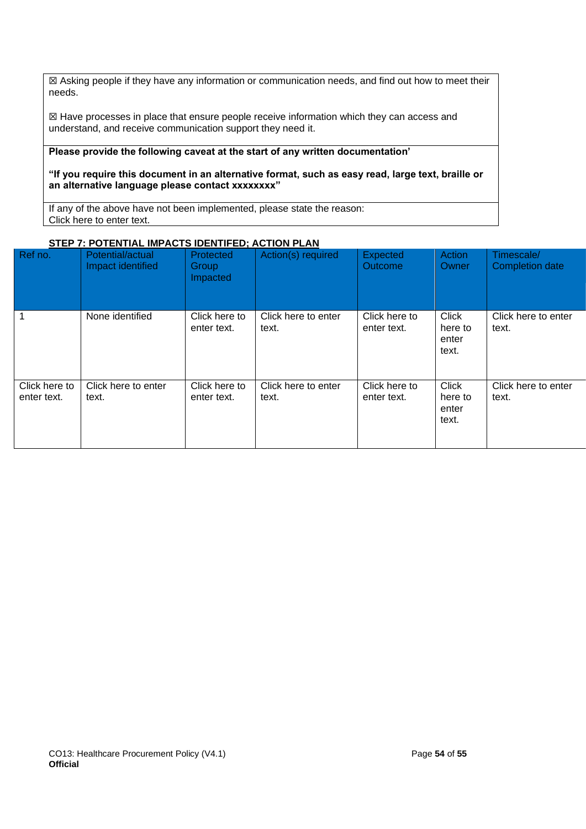☒ Asking people if they have any information or communication needs, and find out how to meet their needs.

☒ Have processes in place that ensure people receive information which they can access and understand, and receive communication support they need it.

### **Please provide the following caveat at the start of any written documentation'**

**"If you require this document in an alternative format, such as easy read, large text, braille or an alternative language please contact xxxxxxxx"** 

If any of the above have not been implemented, please state the reason: Click here to enter text.

### **STEP 7: POTENTIAL IMPACTS IDENTIFED; ACTION PLAN**

| Ref no.                      | Potential/actual<br>Impact identified | Protected<br>Group<br>Impacted | Action(s) required           | <b>Expected</b><br><b>Outcome</b> | Action<br>Owner                           | Timescale/<br>Completion date |
|------------------------------|---------------------------------------|--------------------------------|------------------------------|-----------------------------------|-------------------------------------------|-------------------------------|
|                              | None identified                       | Click here to<br>enter text.   | Click here to enter<br>text. | Click here to<br>enter text.      | <b>Click</b><br>here to<br>enter<br>text. | Click here to enter<br>text.  |
| Click here to<br>enter text. | Click here to enter<br>text.          | Click here to<br>enter text.   | Click here to enter<br>text. | Click here to<br>enter text.      | <b>Click</b><br>here to<br>enter<br>text. | Click here to enter<br>text.  |